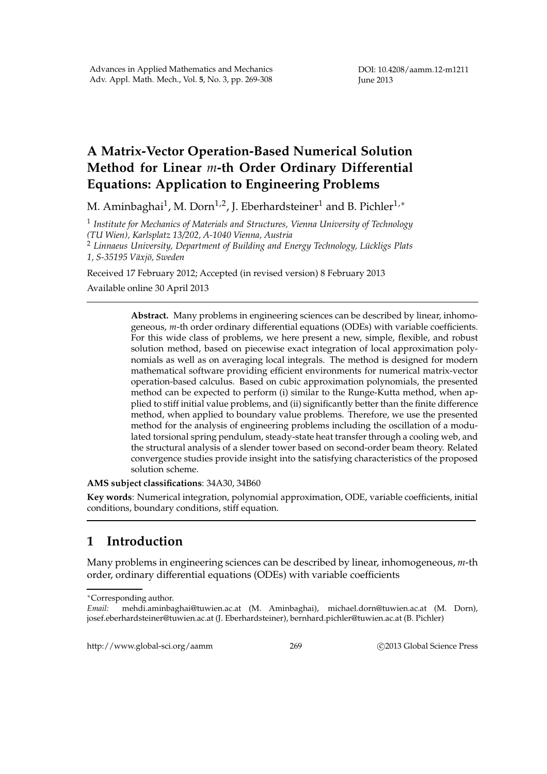# **A Matrix-Vector Operation-Based Numerical Solution Method for Linear** *m***-th Order Ordinary Differential Equations: Application to Engineering Problems**

M. Aminbaghai $^1$ , M. Dorn $^{1,2}$ , J. Eberhardsteiner $^1$  and B. Pichler $^{1,\ast}$ 

1 *Institute for Mechanics of Materials and Structures, Vienna University of Technology (TU Wien), Karlsplatz 13/202, A-1040 Vienna, Austria*

<sup>2</sup> Linnaeus University, Department of Building and Energy Technology, Lückligs Plats *1, S-35195 V¨axj¨o, Sweden*

Received 17 February 2012; Accepted (in revised version) 8 February 2013

Available online 30 April 2013

**Abstract.** Many problems in engineering sciences can be described by linear, inhomogeneous, *m*-th order ordinary differential equations (ODEs) with variable coefficients. For this wide class of problems, we here present a new, simple, flexible, and robust solution method, based on piecewise exact integration of local approximation polynomials as well as on averaging local integrals. The method is designed for modern mathematical software providing efficient environments for numerical matrix-vector operation-based calculus. Based on cubic approximation polynomials, the presented method can be expected to perform (i) similar to the Runge-Kutta method, when applied to stiff initial value problems, and (ii) significantly better than the finite difference method, when applied to boundary value problems. Therefore, we use the presented method for the analysis of engineering problems including the oscillation of a modulated torsional spring pendulum, steady-state heat transfer through a cooling web, and the structural analysis of a slender tower based on second-order beam theory. Related convergence studies provide insight into the satisfying characteristics of the proposed solution scheme.

**AMS subject classifications**: 34A30, 34B60

**Key words**: Numerical integration, polynomial approximation, ODE, variable coefficients, initial conditions, boundary conditions, stiff equation.

# **1 Introduction**

Many problems in engineering sciences can be described by linear, inhomogeneous, *m*-th order, ordinary differential equations (ODEs) with variable coefficients

http://www.global-sci.org/aamm 269 c 2013 Global Science Press

<sup>∗</sup>Corresponding author.

*Email:* mehdi.aminbaghai@tuwien.ac.at (M. Aminbaghai), michael.dorn@tuwien.ac.at (M. Dorn), josef.eberhardsteiner@tuwien.ac.at (J. Eberhardsteiner), bernhard.pichler@tuwien.ac.at (B. Pichler)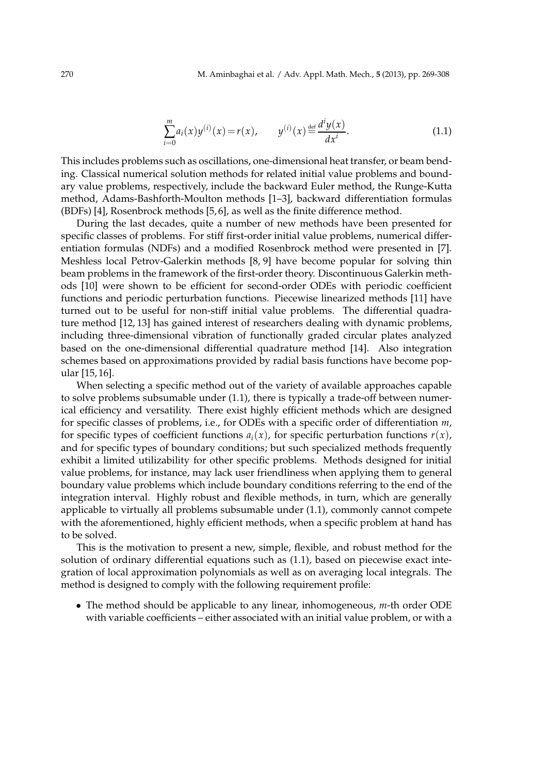$$
\sum_{i=0}^{m} a_i(x) y^{(i)}(x) = r(x), \qquad y^{(i)}(x) \stackrel{\text{def}}{=} \frac{d^i y(x)}{dx^i}.
$$
 (1.1)

This includes problems such as oscillations, one-dimensional heat transfer, or beam bending. Classical numerical solution methods for related initial value problems and boundary value problems, respectively, include the backward Euler method, the Runge-Kutta method, Adams-Bashforth-Moulton methods [1–3], backward differentiation formulas (BDFs) [4], Rosenbrock methods [5, 6], as well as the finite difference method.

During the last decades, quite a number of new methods have been presented for specific classes of problems. For stiff first-order initial value problems, numerical differentiation formulas (NDFs) and a modified Rosenbrock method were presented in [7]. Meshless local Petrov-Galerkin methods [8, 9] have become popular for solving thin beam problems in the framework of the first-order theory. Discontinuous Galerkin methods [10] were shown to be efficient for second-order ODEs with periodic coefficient functions and periodic perturbation functions. Piecewise linearized methods [11] have turned out to be useful for non-stiff initial value problems. The differential quadrature method [12, 13] has gained interest of researchers dealing with dynamic problems, including three-dimensional vibration of functionally graded circular plates analyzed based on the one-dimensional differential quadrature method [14]. Also integration schemes based on approximations provided by radial basis functions have become popular [15, 16].

When selecting a specific method out of the variety of available approaches capable to solve problems subsumable under (1.1), there is typically a trade-off between numerical efficiency and versatility. There exist highly efficient methods which are designed for specific classes of problems, i.e., for ODEs with a specific order of differentiation *m*, for specific types of coefficient functions  $a_i(x)$ , for specific perturbation functions  $r(x)$ , and for specific types of boundary conditions; but such specialized methods frequently exhibit a limited utilizability for other specific problems. Methods designed for initial value problems, for instance, may lack user friendliness when applying them to general boundary value problems which include boundary conditions referring to the end of the integration interval. Highly robust and flexible methods, in turn, which are generally applicable to virtually all problems subsumable under (1.1), commonly cannot compete with the aforementioned, highly efficient methods, when a specific problem at hand has to be solved.

This is the motivation to present a new, simple, flexible, and robust method for the solution of ordinary differential equations such as (1.1), based on piecewise exact integration of local approximation polynomials as well as on averaging local integrals. The method is designed to comply with the following requirement profile:

• The method should be applicable to any linear, inhomogeneous, *m*-th order ODE with variable coefficients – either associated with an initial value problem, or with a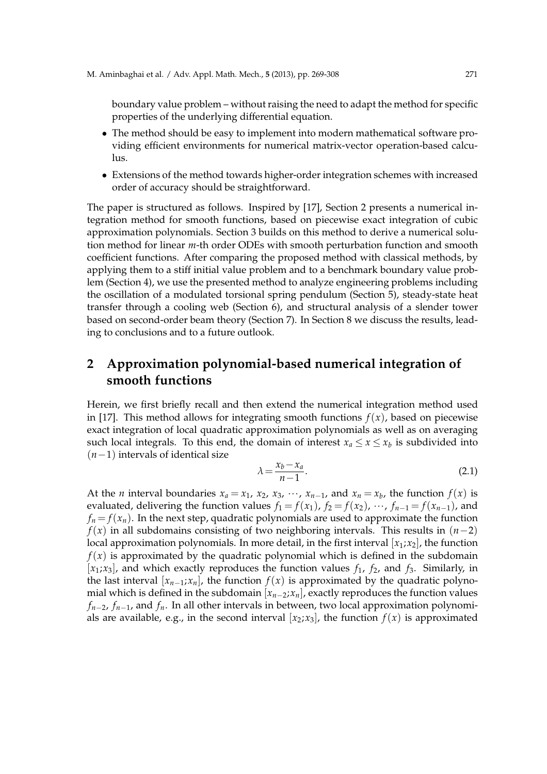boundary value problem – without raising the need to adapt the method for specific properties of the underlying differential equation.

- The method should be easy to implement into modern mathematical software providing efficient environments for numerical matrix-vector operation-based calculus.
- Extensions of the method towards higher-order integration schemes with increased order of accuracy should be straightforward.

The paper is structured as follows. Inspired by [17], Section 2 presents a numerical integration method for smooth functions, based on piecewise exact integration of cubic approximation polynomials. Section 3 builds on this method to derive a numerical solution method for linear *m*-th order ODEs with smooth perturbation function and smooth coefficient functions. After comparing the proposed method with classical methods, by applying them to a stiff initial value problem and to a benchmark boundary value problem (Section 4), we use the presented method to analyze engineering problems including the oscillation of a modulated torsional spring pendulum (Section 5), steady-state heat transfer through a cooling web (Section 6), and structural analysis of a slender tower based on second-order beam theory (Section 7). In Section 8 we discuss the results, leading to conclusions and to a future outlook.

# **2 Approximation polynomial-based numerical integration of smooth functions**

Herein, we first briefly recall and then extend the numerical integration method used in [17]. This method allows for integrating smooth functions  $f(x)$ , based on piecewise exact integration of local quadratic approximation polynomials as well as on averaging such local integrals. To this end, the domain of interest  $x_a \le x \le x_b$  is subdivided into (*n*−1) intervals of identical size

$$
\lambda = \frac{x_b - x_a}{n - 1}.\tag{2.1}
$$

At the *n* interval boundaries  $x_a = x_1, x_2, x_3, \dots, x_{n-1}$ , and  $x_n = x_b$ , the function  $f(x)$  is evaluated, delivering the function values  $f_1 = f(x_1)$ ,  $f_2 = f(x_2)$ ,  $\cdots$ ,  $f_{n-1} = f(x_{n-1})$ , and  $f_n = f(x_n)$ . In the next step, quadratic polynomials are used to approximate the function *f*(*x*) in all subdomains consisting of two neighboring intervals. This results in (*n*−2) local approximation polynomials. In more detail, in the first interval  $[x_1; x_2]$ , the function  $f(x)$  is approximated by the quadratic polynomial which is defined in the subdomain  $[x_1; x_3]$ , and which exactly reproduces the function values  $f_1$ ,  $f_2$ , and  $f_3$ . Similarly, in the last interval  $[x_{n-1},x_n]$ , the function  $f(x)$  is approximated by the quadratic polynomial which is defined in the subdomain [*xn*−2;*xn*], exactly reproduces the function values *fn*−2, *fn*−1, and *fn*. In all other intervals in between, two local approximation polynomials are available, e.g., in the second interval  $[x_2; x_3]$ , the function  $f(x)$  is approximated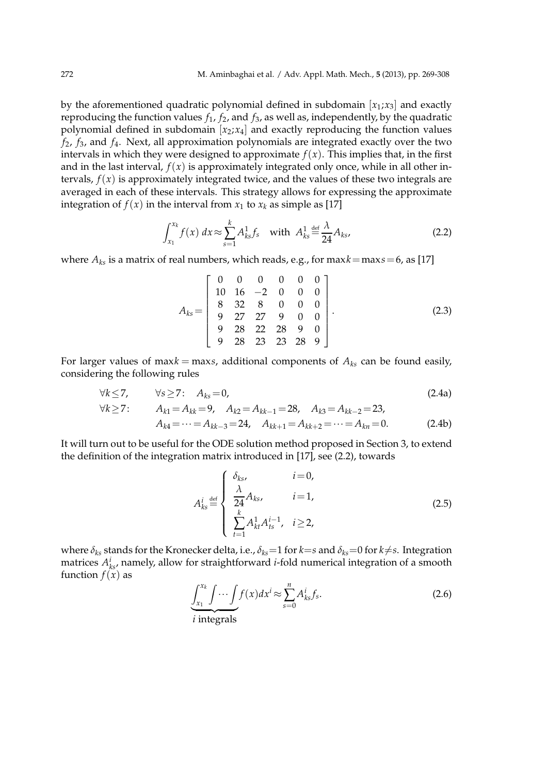by the aforementioned quadratic polynomial defined in subdomain  $[x_1; x_3]$  and exactly reproducing the function values  $f_1$ ,  $f_2$ , and  $f_3$ , as well as, independently, by the quadratic polynomial defined in subdomain  $[x_2; x_4]$  and exactly reproducing the function values *f*2, *f*3, and *f*4. Next, all approximation polynomials are integrated exactly over the two intervals in which they were designed to approximate  $f(x)$ . This implies that, in the first and in the last interval,  $f(x)$  is approximately integrated only once, while in all other intervals,  $f(x)$  is approximately integrated twice, and the values of these two integrals are averaged in each of these intervals. This strategy allows for expressing the approximate integration of  $f(x)$  in the interval from  $x_1$  to  $x_k$  as simple as [17]

$$
\int_{x_1}^{x_k} f(x) \, dx \approx \sum_{s=1}^k A_{ks}^1 f_s \quad \text{with} \ \ A_{ks}^1 \stackrel{\text{def}}{=} \frac{\lambda}{24} A_{ks}, \tag{2.2}
$$

where  $A_{ks}$  is a matrix of real numbers, which reads, e.g., for max $k = max s = 6$ , as [17]

$$
A_{ks} = \left[\begin{array}{cccccc} 0 & 0 & 0 & 0 & 0 & 0 \\ 10 & 16 & -2 & 0 & 0 & 0 \\ 8 & 32 & 8 & 0 & 0 & 0 \\ 9 & 27 & 27 & 9 & 0 & 0 \\ 9 & 28 & 22 & 28 & 9 & 0 \\ 9 & 28 & 23 & 23 & 28 & 9 \end{array}\right].
$$
 (2.3)

For larger values of max $k = \text{max}s$ , additional components of  $A_{ks}$  can be found easily, considering the following rules

$$
\forall k \le 7, \qquad \forall s \ge 7: \quad A_{ks} = 0, \tag{2.4a}
$$

$$
\forall k \ge 7: \qquad A_{k1} = A_{kk} = 9, \quad A_{k2} = A_{kk-1} = 28, \quad A_{k3} = A_{kk-2} = 23, A_{k4} = \dots = A_{kk-3} = 24, \quad A_{kk+1} = A_{kk+2} = \dots = A_{kn} = 0.
$$
 (2.4b)

It will turn out to be useful for the ODE solution method proposed in Section 3, to extend the definition of the integration matrix introduced in [17], see (2.2), towards

$$
A_{ks}^{i} \stackrel{\text{def}}{=} \begin{cases} \n\delta_{ks}, & i = 0, \\
\frac{\lambda}{24} A_{ks}, & i = 1, \\
\sum_{t=1}^{k} A_{kt}^{1} A_{ts}^{i-1}, & i \ge 2, \n\end{cases}
$$
\n(2.5)

where  $\delta_{ks}$  stands for the Kronecker delta, i.e.,  $\delta_{ks}=1$  for  $k=s$  and  $\delta_{ks}=0$  for  $k\neq s$ . Integration matrices  $A_{ks}^i$ , namely, allow for straightforward *i*-fold numerical integration of a smooth function  $f(x)$  as

$$
\underbrace{\int_{x_1}^{x_k} \int \cdots \int f(x) dx^i}_{s=0} \approx \sum_{s=0}^n A_{ks}^i f_s. \tag{2.6}
$$

*i* integrals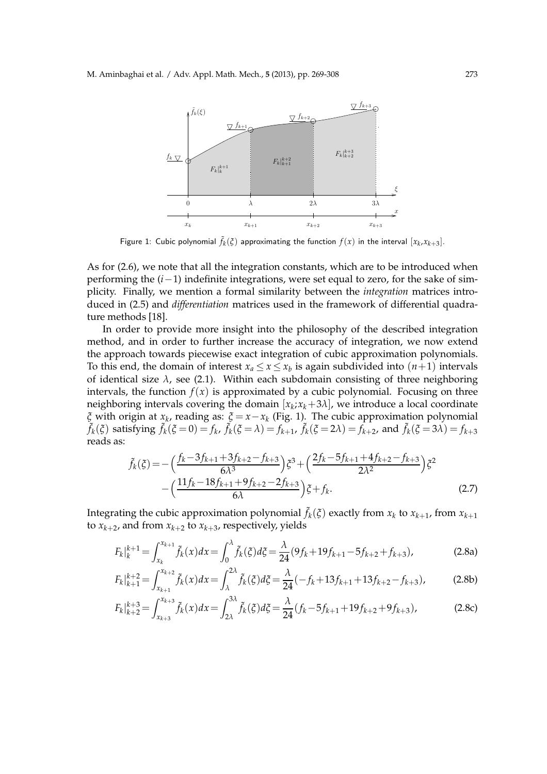

Figure 1: Cubic polynomial  $\tilde{f}_k(\xi)$  approximating the function  $f(x)$  in the interval  $[x_k, x_{k+3}]$ .

As for (2.6), we note that all the integration constants, which are to be introduced when performing the (*i*−1) indefinite integrations, were set equal to zero, for the sake of simplicity. Finally, we mention a formal similarity between the *integration* matrices introduced in (2.5) and *differentiation* matrices used in the framework of differential quadrature methods [18].

In order to provide more insight into the philosophy of the described integration method, and in order to further increase the accuracy of integration, we now extend the approach towards piecewise exact integration of cubic approximation polynomials. To this end, the domain of interest  $x_a \le x \le x_b$  is again subdivided into  $(n+1)$  intervals of identical size  $\lambda$ , see (2.1). Within each subdomain consisting of three neighboring intervals, the function  $f(x)$  is approximated by a cubic polynomial. Focusing on three neighboring intervals covering the domain  $[x_k; x_k+3\lambda]$ , we introduce a local coordinate *ξ* with origin at *x<sup>k</sup>* , reading as: *ξ* = *x*−*x<sup>k</sup>* (Fig. 1). The cubic approximation polynomial  $\tilde{f}_k(\xi)$  satisfying  $\tilde{f}_k(\xi=0) = f_k$ ,  $\tilde{f}_k(\xi=\lambda) = f_{k+1}$ ,  $\tilde{f}_k(\xi=2\lambda) = f_{k+2}$ , and  $\tilde{f}_k(\xi=3\lambda) = f_{k+3}$ reads as:

$$
\tilde{f}_k(\xi) = -\left(\frac{f_k - 3f_{k+1} + 3f_{k+2} - f_{k+3}}{6\lambda^3}\right)\xi^3 + \left(\frac{2f_k - 5f_{k+1} + 4f_{k+2} - f_{k+3}}{2\lambda^2}\right)\xi^2 \n- \left(\frac{11f_k - 18f_{k+1} + 9f_{k+2} - 2f_{k+3}}{6\lambda}\right)\xi + f_k.
$$
\n(2.7)

Integrating the cubic approximation polynomial  $\tilde{f}_k(\xi)$  exactly from  $x_k$  to  $x_{k+1}$ , from  $x_{k+1}$ to  $x_{k+2}$ , and from  $x_{k+2}$  to  $x_{k+3}$ , respectively, yields

$$
F_k|_{k}^{k+1} = \int_{x_k}^{x_{k+1}} \tilde{f}_k(x) dx = \int_0^{\lambda} \tilde{f}_k(\xi) d\xi = \frac{\lambda}{24} (9f_k + 19f_{k+1} - 5f_{k+2} + f_{k+3}),
$$
 (2.8a)

$$
F_k|_{k+1}^{k+2} = \int_{x_{k+1}}^{x_{k+2}} \tilde{f}_k(x) dx = \int_{\lambda}^{2\lambda} \tilde{f}_k(\xi) d\xi = \frac{\lambda}{24} (-f_k + 13f_{k+1} + 13f_{k+2} - f_{k+3}),\tag{2.8b}
$$

$$
F_k|_{k+2}^{k+3} = \int_{x_{k+3}}^{x_{k+3}} \tilde{f}_k(x) dx = \int_{2\lambda}^{3\lambda} \tilde{f}_k(\xi) d\xi = \frac{\lambda}{24} (f_k - 5f_{k+1} + 19f_{k+2} + 9f_{k+3}),
$$
(2.8c)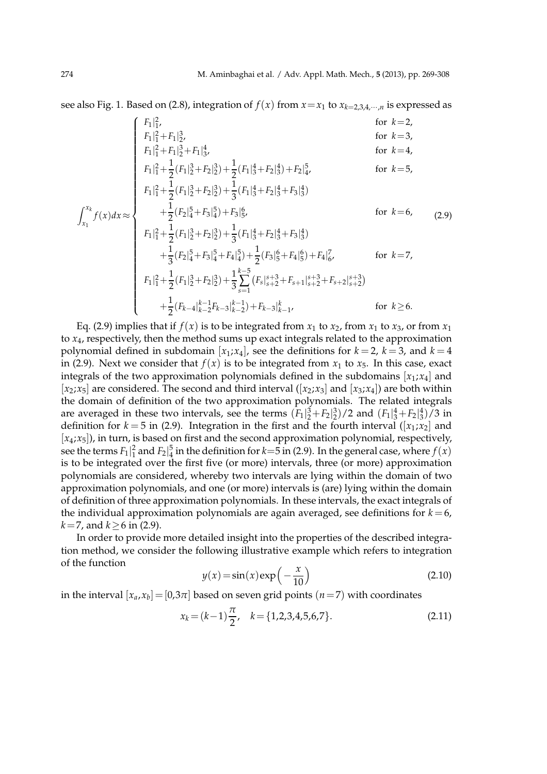see also Fig. 1. Based on (2.8), integration of  $f(x)$  from  $x = x_1$  to  $x_{k=2,3,4,\dots,n}$  is expressed as

$$
\int_{x_1}^{x_1} f_1 = \int_{x_1}^{x_2} f_2 = \int_{x_1}^{x_2} f_1 = \int_{x_1}^{x_2} f_2 = \int_{x_1}^{x_2} f_1 = \int_{x_1}^{x_2} f_2 = \int_{x_1}^{x_2} f_2 = \int_{x_1}^{x_2} f_1 = \int_{x_1}^{x_2} f_2 = \int_{x_1}^{x_2} f_2 = \int_{x_1}^{x_2} f_1 = \int_{x_1}^{x_2} f_2 = \int_{x_1}^{x_2} f_2 = \int_{x_1}^{x_2} f_2 = \int_{x_1}^{x_2} f_2 = \int_{x_1}^{x_2} f_2 = \int_{x_1}^{x_2} f_2 = \int_{x_1}^{x_2} f_2 = \int_{x_1}^{x_2} f_2 = \int_{x_1}^{x_2} f_2 = \int_{x_1}^{x_2} f_2 = \int_{x_1}^{x_2} f_2 = \int_{x_1}^{x_2} f_2 = \int_{x_1}^{x_2} f_2 = \int_{x_1}^{x_2} f_2 = \int_{x_1}^{x_2} f_2 = \int_{x_1}^{x_2} f_2 = \int_{x_1}^{x_2} f_2 = \int_{x_1}^{x_2} f_2 = \int_{x_1}^{x_2} f_2 = \int_{x_1}^{x_2} f_2 = \int_{x_1}^{x_2} f_2 = \int_{x_1}^{x_2} f_2 = \int_{x_1}^{x_2} f_2 = \int_{x_1}^{x_2} f_2 = \int_{x_1}^{x_2} f_2 = \int_{x_1}^{x_2} f_2 = \int_{x_1}^{x_2} f_2 = \int_{x_1}^{x_2} f_2 = \int_{x_1}^{x_2} f_2 = \int_{x_1}^{x_2} f_2 = \int_{x_1}^{x_2} f_2 = \int_{x_1}^{x_2} f_2 = \int_{x_1}^{x_2} f_2 = \int_{x_1}^{x_2} f_2 = \int_{x_1}^{x_2} f_2 = \int_{x_1}^{x_2} f_2 = \int_{x_1}^{
$$

Eq. (2.9) implies that if  $f(x)$  is to be integrated from  $x_1$  to  $x_2$ , from  $x_1$  to  $x_3$ , or from  $x_1$ to *x*4, respectively, then the method sums up exact integrals related to the approximation polynomial defined in subdomain  $[x_1; x_4]$ , see the definitions for  $k = 2$ ,  $k = 3$ , and  $k = 4$ in (2.9). Next we consider that  $f(x)$  is to be integrated from  $x_1$  to  $x_5$ . In this case, exact integrals of the two approximation polynomials defined in the subdomains  $[x_1; x_4]$  and  $[x_2; x_5]$  are considered. The second and third interval  $([x_2; x_3]$  and  $[x_3; x_4]$ ) are both within the domain of definition of the two approximation polynomials. The related integrals are averaged in these two intervals, see the terms  $(F_1|_2^3 + F_2|_2^3)/2$  and  $(F_1|_3^4 + F_2|_3^4)/3$  in definition for  $k = 5$  in (2.9). Integration in the first and the fourth interval ([ $x_1; x_2$ ] and [*x*4;*x*5]), in turn, is based on first and the second approximation polynomial, respectively, see the terms  $F_1|_1^2$  and  $F_2|_4^5$  in the definition for  $k=5$  in (2.9). In the general case, where  $f(x)$ is to be integrated over the first five (or more) intervals, three (or more) approximation polynomials are considered, whereby two intervals are lying within the domain of two approximation polynomials, and one (or more) intervals is (are) lying within the domain of definition of three approximation polynomials. In these intervals, the exact integrals of the individual approximation polynomials are again averaged, see definitions for  $k = 6$ , *k*=7, and *k*≥6 in (2.9).

In order to provide more detailed insight into the properties of the described integration method, we consider the following illustrative example which refers to integration of the function

$$
y(x) = \sin(x)\exp\left(-\frac{x}{10}\right)
$$
 (2.10)

in the interval  $[x_a,x_b]=[0,3\pi]$  based on seven grid points  $(n=7)$  with coordinates

$$
x_k = (k-1)\frac{\pi}{2}, \quad k = \{1, 2, 3, 4, 5, 6, 7\}.
$$
 (2.11)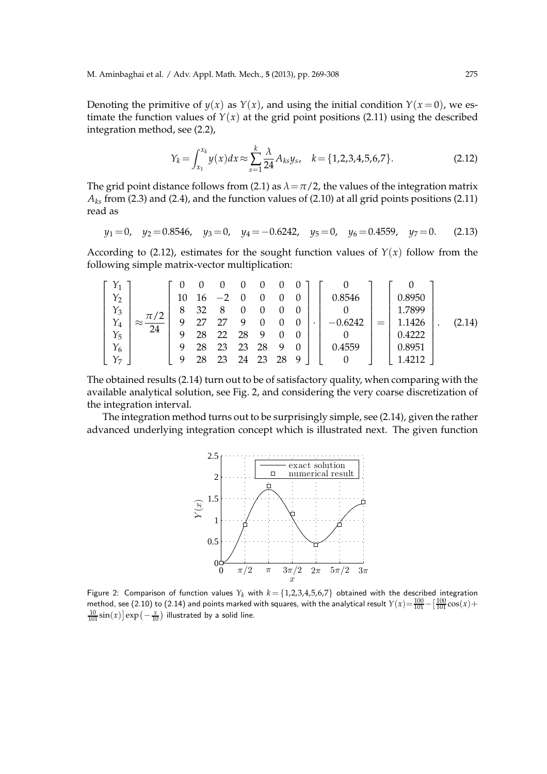Denoting the primitive of  $y(x)$  as  $Y(x)$ , and using the initial condition  $Y(x=0)$ , we estimate the function values of  $Y(x)$  at the grid point positions (2.11) using the described integration method, see (2.2),

$$
Y_k = \int_{x_1}^{x_k} y(x) dx \approx \sum_{s=1}^k \frac{\lambda}{24} A_{ks} y_s, \quad k = \{1, 2, 3, 4, 5, 6, 7\}.
$$
 (2.12)

The grid point distance follows from (2.1) as  $\lambda = \pi/2$ , the values of the integration matrix  $A_{ks}$  from (2.3) and (2.4), and the function values of (2.10) at all grid points positions (2.11) read as

$$
y_1 = 0
$$
,  $y_2 = 0.8546$ ,  $y_3 = 0$ ,  $y_4 = -0.6242$ ,  $y_5 = 0$ ,  $y_6 = 0.4559$ ,  $y_7 = 0$ . (2.13)

According to (2.12), estimates for the sought function values of  $Y(x)$  follow from the following simple matrix-vector multiplication:

$$
\begin{bmatrix} Y_1 \\ Y_2 \\ Y_3 \\ Y_4 \\ Y_5 \\ Y_6 \\ Y_7 \end{bmatrix} \approx \frac{\pi}{24} \begin{bmatrix} 0 & 0 & 0 & 0 & 0 & 0 & 0 \\ 10 & 16 & -2 & 0 & 0 & 0 & 0 \\ 8 & 32 & 8 & 0 & 0 & 0 & 0 \\ 9 & 27 & 27 & 9 & 0 & 0 & 0 \\ 9 & 28 & 22 & 28 & 9 & 0 & 0 \\ 9 & 28 & 23 & 23 & 28 & 9 & 0 \\ 9 & 28 & 23 & 24 & 23 & 28 & 9 \end{bmatrix} \cdot \begin{bmatrix} 0 \\ 0.8546 \\ 0 \\ -0.6242 \\ 0.4222 \\ 0.4559 \\ 0.4559 \\ 0.4222 \\ 0.8951 \\ 1.4212 \end{bmatrix} = \begin{bmatrix} 0 \\ 0.8950 \\ 1.7899 \\ 1.1426 \\ 0.4222 \\ 0.8951 \\ 1.4212 \end{bmatrix} .
$$
 (2.14)

The obtained results (2.14) turn out to be of satisfactory quality, when comparing with the available analytical solution, see Fig. 2, and considering the very coarse discretization of the integration interval.

The integration method turns out to be surprisingly simple, see (2.14), given the rather advanced underlying integration concept which is illustrated next. The given function



Figure 2: Comparison of function values  $Y_k$  with  $k = \{1,2,3,4,5,6,7\}$  obtained with the described integration method, see (2.10) to (2.14) and points marked with squares, with the analytical result  $Y(x) = \frac{100}{101} - \left[\frac{100}{101}\cos(x) + \right]$  $\frac{10}{101} \sin(x)$   $\exp(-\frac{x}{10})$  illustrated by a solid line.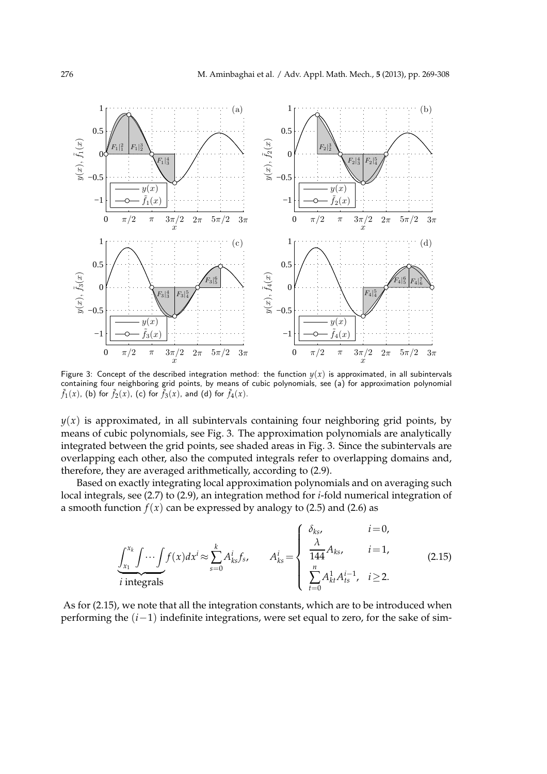

Figure 3: Concept of the described integration method: the function  $y(x)$  is approximated, in all subintervals containing four neighboring grid points, by means of cubic polynomials, see (a) for approximation polynomial  $\tilde{f}_1(x)$ , (b) for  $\tilde{f}_2(x)$ , (c) for  $\tilde{f}_3(x)$ , and (d) for  $\tilde{f}_4(x)$ .

 $y(x)$  is approximated, in all subintervals containing four neighboring grid points, by means of cubic polynomials, see Fig. 3. The approximation polynomials are analytically integrated between the grid points, see shaded areas in Fig. 3. Since the subintervals are overlapping each other, also the computed integrals refer to overlapping domains and, therefore, they are averaged arithmetically, according to (2.9).

Based on exactly integrating local approximation polynomials and on averaging such local integrals, see (2.7) to (2.9), an integration method for *i*-fold numerical integration of a smooth function  $f(x)$  can be expressed by analogy to (2.5) and (2.6) as

$$
\underbrace{\int_{x_1}^{x_k} \int \cdots \int f(x) dx^i}_{i \text{ integrals}} \approx \sum_{s=0}^k A^i_{ks} f_s, \qquad A^i_{ks} = \begin{cases} \delta_{ks}, & i=0, \\ \frac{\lambda}{144} A_{ks}, & i=1, \\ \frac{m}{144} A^{i-1}_{ks}, & i \ge 2. \end{cases} \tag{2.15}
$$

As for (2.15), we note that all the integration constants, which are to be introduced when performing the (*i*−1) indefinite integrations, were set equal to zero, for the sake of sim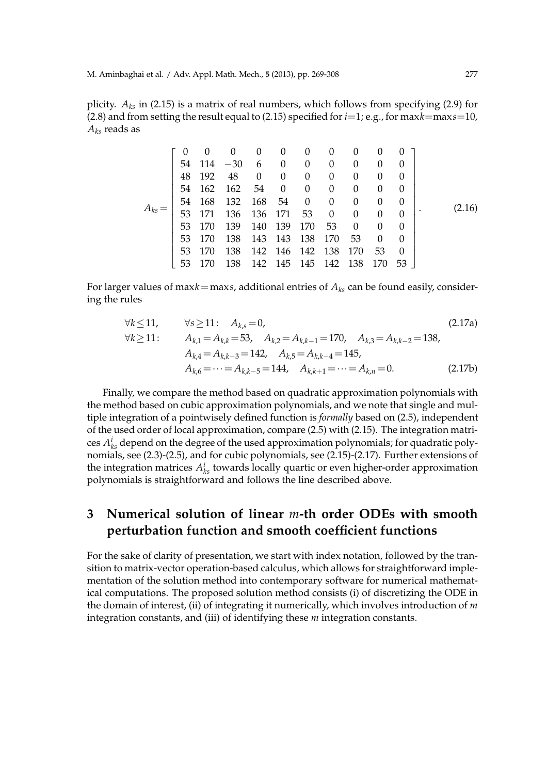plicity. *Aks* in (2.15) is a matrix of real numbers, which follows from specifying (2.9) for (2.8) and from setting the result equal to (2.15) specified for *i*=1; e.g., for max*k*=max*s*=10, *Aks* reads as

|  |    |        |       | $\theta$ | $\theta$       |                | $\cup$   | $\cup$   |          |          |  |        |
|--|----|--------|-------|----------|----------------|----------------|----------|----------|----------|----------|--|--------|
|  | 54 | 114    | $-30$ | 6        | $\theta$       | 0              | $\Omega$ | $\Omega$ | $\theta$ | $\theta$ |  |        |
|  | 48 | 192    | 48    | $\theta$ | 0              | $\overline{0}$ | 0        | 0        | $\theta$ |          |  |        |
|  | 54 | 162    | 162   | 54       | $\overline{0}$ | 0              | 0        | 0        | $\Omega$ | $\theta$ |  |        |
|  |    | 54 168 | 132   | 168      | 54             | $\theta$       | $\Omega$ | $\Omega$ | $\theta$ | $\Omega$ |  |        |
|  |    | 53 171 | 136   |          | 136 171 53     |                | $\Omega$ | $\Omega$ | $\Omega$ | $\theta$ |  | (2.16) |
|  | 53 | 170    | 139   | 140      | 139            | 170            | 53       | $\Omega$ |          | $\theta$ |  |        |
|  | 53 | 170    | 138   |          | 143 143 138    |                | 170      | 53       | $\Omega$ | $\Omega$ |  |        |
|  | 53 | 170    | 138   |          | 142 146 142    |                | 138      | 170      | 53       | $\Omega$ |  |        |
|  | 53 |        | 138   | 142      |                | 145 145        | 142      | 138      | 170      | 53       |  |        |

For larger values of max $k =$ maxs, additional entries of  $A_{ks}$  can be found easily, considering the rules

$$
\forall k \le 11, \qquad \forall s \ge 11: \quad A_{k,s} = 0,
$$
\n
$$
\forall k \ge 11: \quad A_{k,1} = A_{k,k} = 53, \quad A_{k,2} = A_{k,k-1} = 170, \quad A_{k,3} = A_{k,k-2} = 138,
$$
\n
$$
A_{k,4} = A_{k,k-3} = 142, \quad A_{k,5} = A_{k,k-4} = 145,
$$
\n
$$
A_{k,6} = \dots = A_{k,k-5} = 144, \quad A_{k,k+1} = \dots = A_{k,n} = 0.
$$
\n(2.17b)

Finally, we compare the method based on quadratic approximation polynomials with the method based on cubic approximation polynomials, and we note that single and multiple integration of a pointwisely defined function is *formally* based on (2.5), independent of the used order of local approximation, compare (2.5) with (2.15). The integration matrices *A i ks* depend on the degree of the used approximation polynomials; for quadratic polynomials, see (2.3)-(2.5), and for cubic polynomials, see (2.15)-(2.17). Further extensions of the integration matrices  $A_{ks}^i$  towards locally quartic or even higher-order approximation polynomials is straightforward and follows the line described above.

# **3 Numerical solution of linear** *m***-th order ODEs with smooth perturbation function and smooth coefficient functions**

For the sake of clarity of presentation, we start with index notation, followed by the transition to matrix-vector operation-based calculus, which allows for straightforward implementation of the solution method into contemporary software for numerical mathematical computations. The proposed solution method consists (i) of discretizing the ODE in the domain of interest, (ii) of integrating it numerically, which involves introduction of *m* integration constants, and (iii) of identifying these *m* integration constants.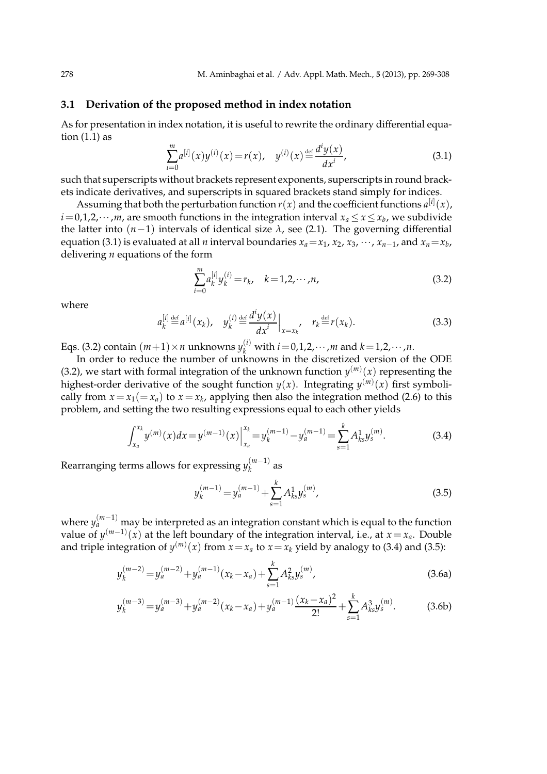### **3.1 Derivation of the proposed method in index notation**

As for presentation in index notation, it is useful to rewrite the ordinary differential equation (1.1) as

$$
\sum_{i=0}^{m} a^{[i]}(x) y^{(i)}(x) = r(x), \quad y^{(i)}(x) \stackrel{\text{def}}{=} \frac{d^i y(x)}{dx^i}, \tag{3.1}
$$

such that superscripts without brackets represent exponents, superscripts in round brackets indicate derivatives, and superscripts in squared brackets stand simply for indices.

Assuming that both the perturbation function  $r(x)$  and the coefficient functions  $a^{[i]}(x)$ ,  $i$  = 0,1,2, $\cdots$  ,*m*, are smooth functions in the integration interval  $x_a$   $\le$   $x$   $\le$   $x_b$ , we subdivide the latter into (*n*−1) intervals of identical size *λ*, see (2.1). The governing differential equation (3.1) is evaluated at all *n* interval boundaries  $x_a = x_1, x_2, x_3, \cdots, x_{n-1}$ , and  $x_n = x_b$ , delivering *n* equations of the form

$$
\sum_{i=0}^{m} a_k^{[i]} y_k^{(i)} = r_k, \quad k = 1, 2, \cdots, n,
$$
\n(3.2)

where

$$
a_k^{[i]} \stackrel{\text{def}}{=} a^{[i]}(x_k), \quad y_k^{(i)} \stackrel{\text{def}}{=} \frac{d^i y(x)}{dx^i}\Big|_{x=x_k}, \quad r_k \stackrel{\text{def}}{=} r(x_k). \tag{3.3}
$$

Eqs. (3.2) contain  $(m+1) \times n$  unknowns  $y_k^{(i)}$  with  $i = 0, 1, 2, \dots, m$  and  $k = 1, 2, \dots, n$ .

In order to reduce the number of unknowns in the discretized version of the ODE (3.2), we start with formal integration of the unknown function  $y^{(m)}(x)$  representing the highest-order derivative of the sought function  $y(x)$ . Integrating  $y^{(m)}(x)$  first symbolically from  $x = x_1 (= x_a)$  to  $x = x_k$ , applying then also the integration method (2.6) to this problem, and setting the two resulting expressions equal to each other yields

$$
\int_{x_a}^{x_k} y^{(m)}(x) dx = y^{(m-1)}(x) \Big|_{x_a}^{x_k} = y_k^{(m-1)} - y_a^{(m-1)} = \sum_{s=1}^k A_{ks}^1 y_s^{(m)}.
$$
 (3.4)

Rearranging terms allows for expressing *y* (*m*−1)  $\binom{m-1}{k}$  as

$$
y_k^{(m-1)} = y_a^{(m-1)} + \sum_{s=1}^k A_{ks}^1 y_s^{(m)},
$$
\n(3.5)

where  $y_{a}^{(m-1)}$  may be interpreted as an integration constant which is equal to the function value of  $y^{(m-1)}(x)$  at the left boundary of the integration interval, i.e., at  $x = x_a$ . Double and triple integration of  $y^{(m)}(x)$  from  $x = x_a$  to  $x = x_k$  yield by analogy to (3.4) and (3.5):

$$
y_k^{(m-2)} = y_a^{(m-2)} + y_a^{(m-1)}(x_k - x_a) + \sum_{s=1}^k A_{ks}^2 y_s^{(m)},
$$
\n(3.6a)

$$
y_k^{(m-3)} = y_a^{(m-3)} + y_a^{(m-2)}(x_k - x_a) + y_a^{(m-1)} \frac{(x_k - x_a)^2}{2!} + \sum_{s=1}^k A_{ks}^3 y_s^{(m)}.
$$
 (3.6b)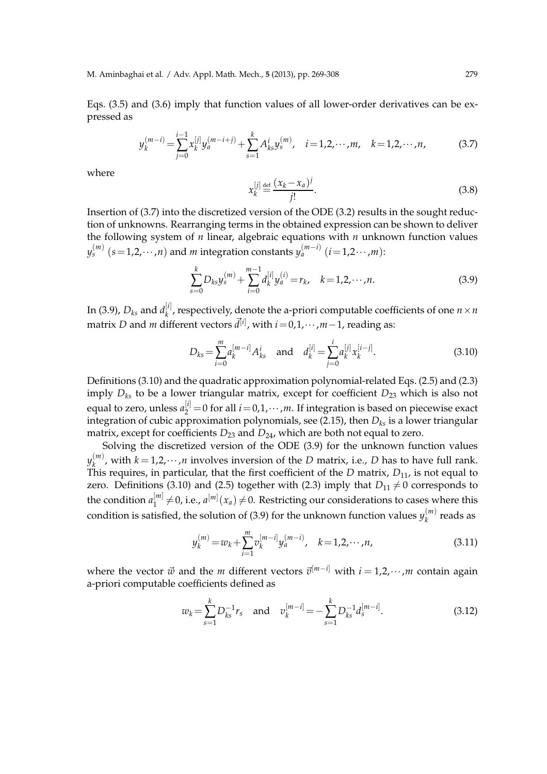Eqs. (3.5) and (3.6) imply that function values of all lower-order derivatives can be expressed as

$$
y_k^{(m-i)} = \sum_{j=0}^{i-1} x_k^{[j]} y_a^{(m-i+j)} + \sum_{s=1}^k A_{ks}^i y_s^{(m)}, \quad i = 1, 2, \cdots, m, \quad k = 1, 2, \cdots, n,
$$
 (3.7)

where

$$
x_k^{[j]} \stackrel{\text{def}}{=} \frac{(x_k - x_a)^j}{j!}.
$$
\n(3.8)

Insertion of (3.7) into the discretized version of the ODE (3.2) results in the sought reduction of unknowns. Rearranging terms in the obtained expression can be shown to deliver the following system of *n* linear, algebraic equations with *n* unknown function values *y*<sub>s</sub><sup>(*m*)</sup> (*s*=1,2,···,*n*) and *m* integration constants *y*<sub>a</sub><sup>(*m*−*i*)</sup> (*i*=1,2···,*m*):

$$
\sum_{s=0}^{k} D_{ks} y_s^{(m)} + \sum_{i=0}^{m-1} d_k^{[i]} y_a^{(i)} = r_k, \quad k = 1, 2, \cdots, n.
$$
 (3.9)

In (3.9), *Dks* and *d* [*i*]  $\mathbb{R}^{[t]}$ , respectively, denote the a-priori computable coefficients of one  $n \times n$ matrix *D* and *m* different vectors  $\vec{d}^{[i]}$ , with  $i = 0, 1, \dots, m-1$ , reading as:

$$
D_{ks} = \sum_{i=0}^{m} a_k^{[m-i]} A_{ks}^i \quad \text{and} \quad d_k^{[i]} = \sum_{j=0}^{i} a_k^{[j]} x_k^{[i-j]}.
$$
 (3.10)

Definitions (3.10) and the quadratic approximation polynomial-related Eqs. (2.5) and (2.3) imply  $D_{ks}$  to be a lower triangular matrix, except for coefficient  $D_{23}$  which is also not equal to zero, unless  $a_2^{[i]} = 0$  for all  $i = 0, 1, \cdots, m$ . If integration is based on piecewise exact integration of cubic approximation polynomials, see (2.15), then *Dks* is a lower triangular matrix, except for coefficients  $D_{23}$  and  $D_{24}$ , which are both not equal to zero.

Solving the discretized version of the ODE (3.9) for the unknown function values *y* (*m*)  $k_{k}^{(m)}$ , with  $k = 1, 2, \cdots, n$  involves inversion of the *D* matrix, i.e., *D* has to have full rank. This requires, in particular, that the first coefficient of the *D* matrix,  $D_{11}$ , is not equal to zero. Definitions (3.10) and (2.5) together with (2.3) imply that  $D_{11} \neq 0$  corresponds to the condition  $a_1^{[m]}$  $\binom{[m]}{1} \neq 0$ , i.e.,  $a^{[m]}(x_a) \neq 0$ . Restricting our considerations to cases where this condition is satisfied*,* the solution of (3.9) for the unknown function values  $y_k^{(m)}$  $k^{(m)}$  reads as

$$
y_k^{(m)} = w_k + \sum_{i=1}^m v_k^{[m-i]} y_a^{(m-i)}, \quad k = 1, 2, \cdots, n,
$$
 (3.11)

where the vector  $\vec{w}$  and the *m* different vectors  $\vec{v}^{[m-i]}$  with  $i = 1, 2, \cdots, m$  contain again a-priori computable coefficients defined as

$$
w_k = \sum_{s=1}^{k} D_{ks}^{-1} r_s \quad \text{and} \quad v_k^{[m-i]} = -\sum_{s=1}^{k} D_{ks}^{-1} d_s^{[m-i]}.
$$
 (3.12)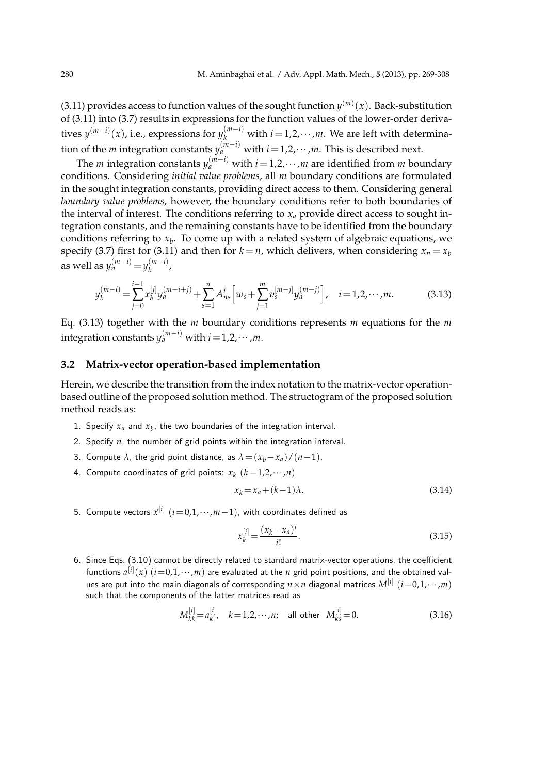(3.11) provides access to function values of the sought function  $y^{(m)}(x)$ . Back-substitution of (3.11) into (3.7) results in expressions for the function values of the lower-order derivatives  $y^{(m-i)}(x)$ , i.e., expressions for  $y_k^{(m-i)}$  with  $i=1,2,\cdots,m$ . We are left with determination of the *m* integration constants  $y_a^{(m-i)}$  with  $i$  = 1,2, $\cdots$  ,*m*. This is described next.

The *m* integration constants  $y_a^{(m-i)}$  with  $i$  = 1,2, $\cdots$  ,*m* are identified from *m* boundary conditions. Considering *initial value problems*, all *m* boundary conditions are formulated in the sought integration constants, providing direct access to them. Considering general *boundary value problems*, however, the boundary conditions refer to both boundaries of the interval of interest. The conditions referring to  $x_a$  provide direct access to sought integration constants, and the remaining constants have to be identified from the boundary conditions referring to *x<sup>b</sup>* . To come up with a related system of algebraic equations, we specify (3.7) first for (3.11) and then for  $k = n$ , which delivers, when considering  $x_n = x_b$ as well as  $y_n^{(m-i)} = y_b^{(m-i)}$  $\begin{matrix} (m-i) \\ b \end{matrix}$ 

$$
y_b^{(m-i)} = \sum_{j=0}^{i-1} x_b^{[j]} y_a^{(m-i+j)} + \sum_{s=1}^n A_{ns}^i \left[ w_s + \sum_{j=1}^m v_s^{[m-j]} y_a^{(m-j)} \right], \quad i = 1, 2, \cdots, m. \tag{3.13}
$$

Eq. (3.13) together with the *m* boundary conditions represents *m* equations for the *m*  $\text{integration constants } y_a^{(m-i)} \text{ with } i = 1, 2, \cdots, m.$ 

## **3.2 Matrix-vector operation-based implementation**

Herein, we describe the transition from the index notation to the matrix-vector operationbased outline of the proposed solution method. The structogram of the proposed solution method reads as:

- 1. Specify  $x_a$  and  $x_b$ , the two boundaries of the integration interval.
- 2. Specify *n*, the number of grid points within the integration interval.
- 3. Compute  $\lambda$ , the grid point distance, as  $\lambda = (x_b x_a)/(n-1)$ .
- 4. Compute coordinates of grid points:  $x_k$   $(k=1,2,\cdots,n)$

$$
x_k = x_a + (k-1)\lambda.
$$
\n<sup>(3.14)</sup>

5. Compute vectors  $\vec{x}^{[i]}~(i\!=\!0,1,\cdots\!,m\!-\!1)$ , with coordinates defined as

$$
x_k^{[i]} = \frac{(x_k - x_a)^i}{i!}.
$$
\n(3.15)

6. Since Eqs. (3.10) cannot be directly related to standard matrix-vector operations, the coefficient functions  $a^{[i]}(x)$   $(i{=}0{,}1{,}{\cdots{,}}m)$  are evaluated at the  $n$  grid point positions, and the obtained values are put into the main diagonals of corresponding  $n\!\times\! n$  diagonal matrices  $M^{[i]}~(i\!=\!0,1,\!\cdots\!,m)$ such that the components of the latter matrices read as

$$
M_{kk}^{[i]} = a_k^{[i]}, \quad k = 1, 2, \cdots, n; \quad \text{all other} \quad M_{ks}^{[i]} = 0. \tag{3.16}
$$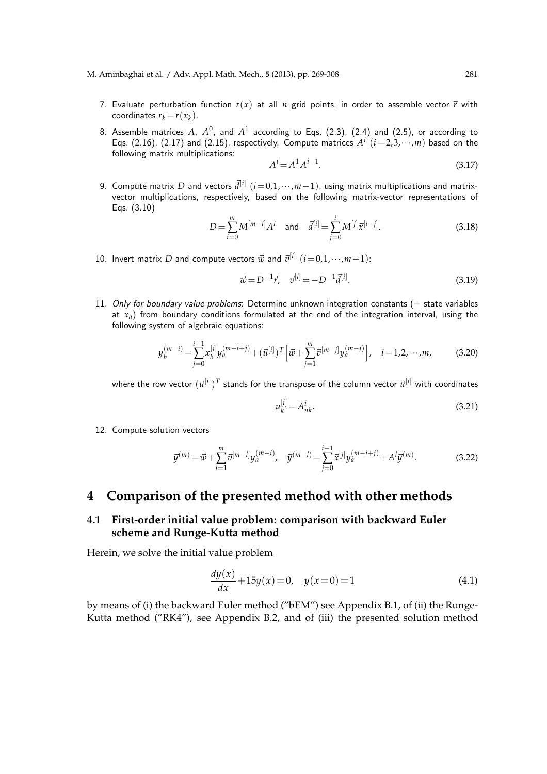- 7. Evaluate perturbation function  $r(x)$  at all  $n$  grid points, in order to assemble vector  $\vec{r}$  with coordinates  $r_k = r(x_k)$ .
- 8. Assemble matrices  $A$ ,  $A^0$ , and  $A^1$  according to Eqs. (2.3), (2.4) and (2.5), or according to Eqs. (2.16), (2.17) and (2.15), respectively. Compute matrices  $A^i$   $(i=2,3,\cdots,m)$  based on the following matrix multiplications:

$$
A^{i} = A^{1} A^{i-1}.
$$
 (3.17)

9. Compute matrix  $D$  and vectors  $\vec{d}^{[i]}$   $(i\!=\!0,1,\!\cdots\!,m\!-\!1),$  using matrix multiplications and matrixvector multiplications, respectively, based on the following matrix-vector representations of Eqs. (3.10)

$$
D = \sum_{i=0}^{m} M^{[m-i]} A^i \quad \text{and} \quad \vec{d}^{[i]} = \sum_{j=0}^{i} M^{[j]} \vec{x}^{[i-j]}.
$$
 (3.18)

10. Invert matrix *D* and compute vectors  $\vec{w}$  and  $\vec{v}^{[i]}$   $(i=0,1,\cdots,m-1)$ :

$$
\vec{w} = D^{-1}\vec{r}, \quad \vec{v}^{[i]} = -D^{-1}\vec{d}^{[i]}.
$$
\n(3.19)

11. Only for boundary value problems: Determine unknown integration constants ( $=$  state variables at *xa*) from boundary conditions formulated at the end of the integration interval, using the following system of algebraic equations:

$$
y_b^{(m-i)} = \sum_{j=0}^{i-1} x_b^{[j]} y_a^{(m-i+j)} + (\vec{u}^{[i]})^T \left[ \vec{w} + \sum_{j=1}^m \vec{v}^{[m-j]} y_a^{(m-j)} \right], \quad i = 1, 2, \cdots, m,
$$
 (3.20)

where the row vector  $(\vec{u}^{[i]})^T$  stands for the transpose of the column vector  $\vec{u}^{[i]}$  with coordinates

$$
u_k^{[i]} = A_{nk}^i.
$$
\n
$$
(3.21)
$$

12. Compute solution vectors

$$
\vec{y}^{(m)} = \vec{w} + \sum_{i=1}^{m} \vec{v}^{[m-i]} y_a^{(m-i)}, \quad \vec{y}^{(m-i)} = \sum_{j=0}^{i-1} \vec{x}^{[j]} y_a^{(m-i+j)} + A^i \vec{y}^{(m)}.
$$
\n(3.22)

## **4 Comparison of the presented method with other methods**

## **4.1 First-order initial value problem: comparison with backward Euler scheme and Runge-Kutta method**

Herein, we solve the initial value problem

$$
\frac{dy(x)}{dx} + 15y(x) = 0, \quad y(x=0) = 1
$$
\n(4.1)

by means of (i) the backward Euler method ("bEM") see Appendix B.1, of (ii) the Runge-Kutta method ("RK4"), see Appendix B.2, and of (iii) the presented solution method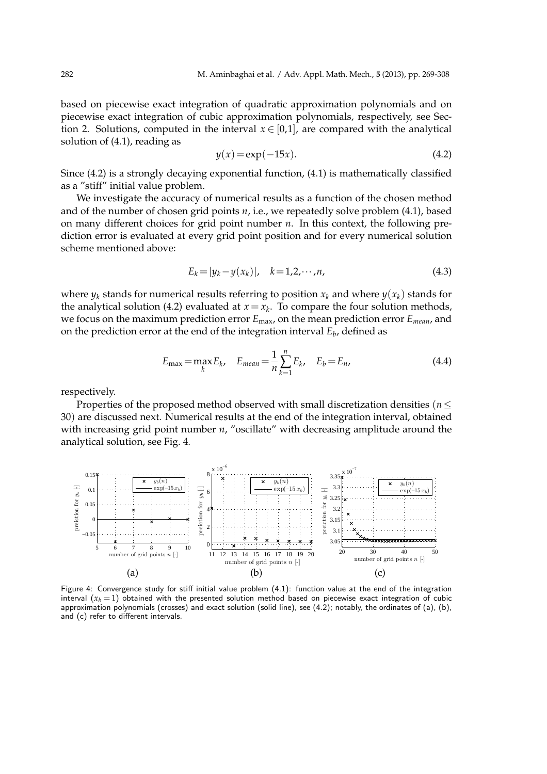based on piecewise exact integration of quadratic approximation polynomials and on piecewise exact integration of cubic approximation polynomials, respectively, see Section 2. Solutions, computed in the interval  $x \in [0,1]$ , are compared with the analytical solution of (4.1), reading as

$$
y(x) = \exp(-15x). \tag{4.2}
$$

Since (4.2) is a strongly decaying exponential function, (4.1) is mathematically classified as a "stiff" initial value problem.

We investigate the accuracy of numerical results as a function of the chosen method and of the number of chosen grid points *n*, i.e., we repeatedly solve problem (4.1), based on many different choices for grid point number *n*. In this context, the following prediction error is evaluated at every grid point position and for every numerical solution scheme mentioned above:

$$
E_k = |y_k - y(x_k)|, \quad k = 1, 2, \cdots, n,
$$
\n(4.3)

where  $y_k$  stands for numerical results referring to position  $x_k$  and where  $y(x_k)$  stands for the analytical solution (4.2) evaluated at  $x = x_k$ . To compare the four solution methods, we focus on the maximum prediction error *E*max, on the mean prediction error *Emean*, and on the prediction error at the end of the integration interval *E<sup>b</sup>* , defined as

$$
E_{\max} = \max_{k} E_k, \quad E_{\text{mean}} = \frac{1}{n} \sum_{k=1}^{n} E_k, \quad E_b = E_n,
$$
 (4.4)

respectively.

Properties of the proposed method observed with small discretization densities (*n*≤ 30) are discussed next. Numerical results at the end of the integration interval, obtained with increasing grid point number *n*, "oscillate" with decreasing amplitude around the analytical solution, see Fig. 4.



Figure 4: Convergence study for stiff initial value problem (4.1): function value at the end of the integration interval  $(x_b = 1)$  obtained with the presented solution method based on piecewise exact integration of cubic approximation polynomials (crosses) and exact solution (solid line), see (4.2); notably, the ordinates of (a), (b), and (c) refer to different intervals.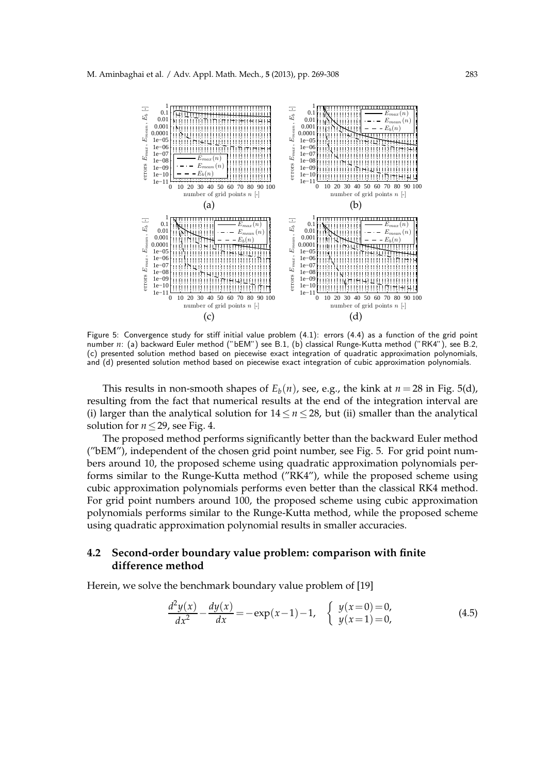

Figure 5: Convergence study for stiff initial value problem (4.1): errors (4.4) as a function of the grid point number n: (a) backward Euler method ("bEM") see B.1, (b) classical Runge-Kutta method ("RK4"), see B.2, (c) presented solution method based on piecewise exact integration of quadratic approximation polynomials, and (d) presented solution method based on piecewise exact integration of cubic approximation polynomials.

This results in non-smooth shapes of  $E_b(n)$ , see, e.g., the kink at  $n = 28$  in Fig. 5(d), resulting from the fact that numerical results at the end of the integration interval are (i) larger than the analytical solution for 14≤ *n* ≤ 28, but (ii) smaller than the analytical solution for  $n \leq 29$ , see Fig. 4.

The proposed method performs significantly better than the backward Euler method ("bEM"), independent of the chosen grid point number, see Fig. 5. For grid point numbers around 10, the proposed scheme using quadratic approximation polynomials performs similar to the Runge-Kutta method ("RK4"), while the proposed scheme using cubic approximation polynomials performs even better than the classical RK4 method. For grid point numbers around 100, the proposed scheme using cubic approximation polynomials performs similar to the Runge-Kutta method, while the proposed scheme using quadratic approximation polynomial results in smaller accuracies.

## **4.2 Second-order boundary value problem: comparison with finite difference method**

Herein, we solve the benchmark boundary value problem of [19]

$$
\frac{d^2y(x)}{dx^2} - \frac{dy(x)}{dx} = -\exp(x-1) - 1, \quad \begin{cases} y(x=0) = 0, \\ y(x=1) = 0, \end{cases}
$$
(4.5)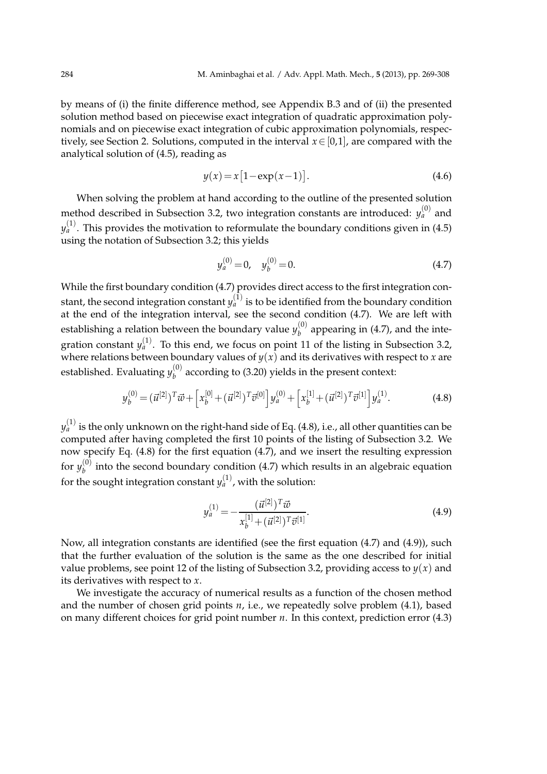by means of (i) the finite difference method, see Appendix B.3 and of (ii) the presented solution method based on piecewise exact integration of quadratic approximation polynomials and on piecewise exact integration of cubic approximation polynomials, respectively, see Section 2. Solutions, computed in the interval *x*∈[0,1], are compared with the analytical solution of (4.5), reading as

$$
y(x) = x[1 - \exp(x - 1)].
$$
\n(4.6)

When solving the problem at hand according to the outline of the presented solution method described in Subsection 3.2, two integration constants are introduced:  $y_a^{(0)}$  and  $y_{a}^{\left( 1\right) }$ . This provides the motivation to reformulate the boundary conditions given in (4.5) using the notation of Subsection 3.2; this yields

$$
y_a^{(0)} = 0, \quad y_b^{(0)} = 0.
$$
\n(4.7)

While the first boundary condition (4.7) provides direct access to the first integration constant*,* the second integration constant  $y_{a}^{(1)}$  is to be identified from the boundary condition at the end of the integration interval, see the second condition (4.7). We are left with establishing a relation between the boundary value  $y_h^{(0)}$  $b<sup>(0)</sup>$  appearing in (4.7), and the integration constant  $y_a^{(1)}$ . To this end, we focus on point 11 of the listing in Subsection 3.2, where relations between boundary values of  $y(x)$  and its derivatives with respect to *x* are established. Evaluating  $y_h^{(0)}$  $b<sub>b</sub><sup>(0)</sup>$  according to (3.20) yields in the present context:

$$
y_b^{(0)} = (\vec{u}^{[2]})^T \vec{w} + \left[ x_b^{[0]} + (\vec{u}^{[2]})^T \vec{v}^{[0]} \right] y_a^{(0)} + \left[ x_b^{[1]} + (\vec{u}^{[2]})^T \vec{v}^{[1]} \right] y_a^{(1)}.
$$
 (4.8)

 $y_{a}^{\left( 1\right) }$  is the only unknown on the right-hand side of Eq. (4.8), i.e., all other quantities can be computed after having completed the first 10 points of the listing of Subsection 3.2. We now specify Eq. (4.8) for the first equation (4.7), and we insert the resulting expression for  $y_h^{(0)}$  $b<sub>b</sub>$  into the second boundary condition (4.7) which results in an algebraic equation for the sought integration constant  $y_a^{(1)}$  , with the solution:

$$
y_a^{(1)} = -\frac{(\vec{u}^{[2]})^T \vec{w}}{x_b^{[1]} + (\vec{u}^{[2]})^T \vec{v}^{[1]}}.
$$
\n(4.9)

Now, all integration constants are identified (see the first equation (4.7) and (4.9)), such that the further evaluation of the solution is the same as the one described for initial value problems, see point 12 of the listing of Subsection 3.2, providing access to  $y(x)$  and its derivatives with respect to *x*.

We investigate the accuracy of numerical results as a function of the chosen method and the number of chosen grid points *n*, i.e., we repeatedly solve problem (4.1), based on many different choices for grid point number *n*. In this context, prediction error (4.3)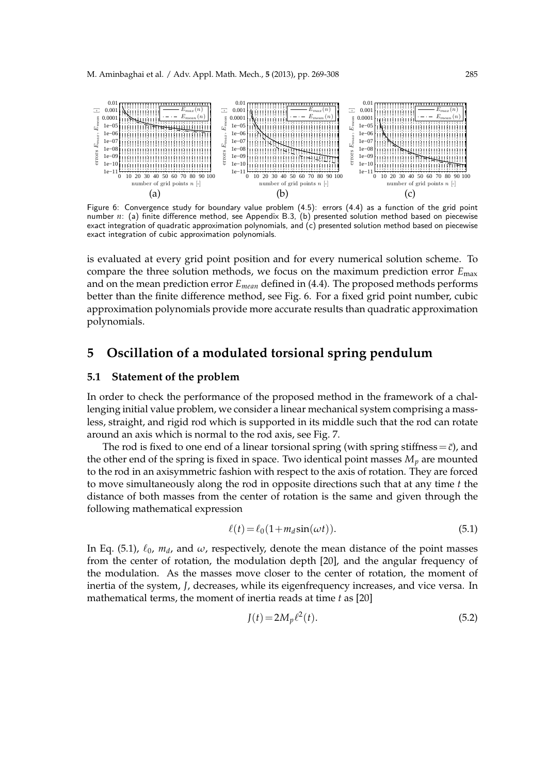

Figure 6: Convergence study for boundary value problem (4.5): errors (4.4) as a function of the grid point number *n*: (a) finite difference method, see Appendix B.3, (b) presented solution method based on piecewise exact integration of quadratic approximation polynomials, and (c) presented solution method based on piecewise exact integration of cubic approximation polynomials.

is evaluated at every grid point position and for every numerical solution scheme. To compare the three solution methods, we focus on the maximum prediction error *E*max and on the mean prediction error *Emean* defined in (4.4). The proposed methods performs better than the finite difference method, see Fig. 6. For a fixed grid point number, cubic approximation polynomials provide more accurate results than quadratic approximation polynomials.

## **5 Oscillation of a modulated torsional spring pendulum**

## **5.1 Statement of the problem**

In order to check the performance of the proposed method in the framework of a challenging initial value problem, we consider a linear mechanical system comprising a massless, straight, and rigid rod which is supported in its middle such that the rod can rotate around an axis which is normal to the rod axis, see Fig. 7.

The rod is fixed to one end of a linear torsional spring (with spring stiffness =  $\bar{c}$ ), and the other end of the spring is fixed in space. Two identical point masses  $M_p$  are mounted to the rod in an axisymmetric fashion with respect to the axis of rotation. They are forced to move simultaneously along the rod in opposite directions such that at any time *t* the distance of both masses from the center of rotation is the same and given through the following mathematical expression

$$
\ell(t) = \ell_0 \left( 1 + m_d \sin(\omega t) \right). \tag{5.1}
$$

In Eq. (5.1),  $\ell_0$ ,  $m_d$ , and  $\omega$ , respectively, denote the mean distance of the point masses from the center of rotation, the modulation depth [20], and the angular frequency of the modulation. As the masses move closer to the center of rotation, the moment of inertia of the system, *J*, decreases, while its eigenfrequency increases, and vice versa. In mathematical terms, the moment of inertia reads at time *t* as [20]

$$
J(t) = 2M_p \ell^2(t).
$$
 (5.2)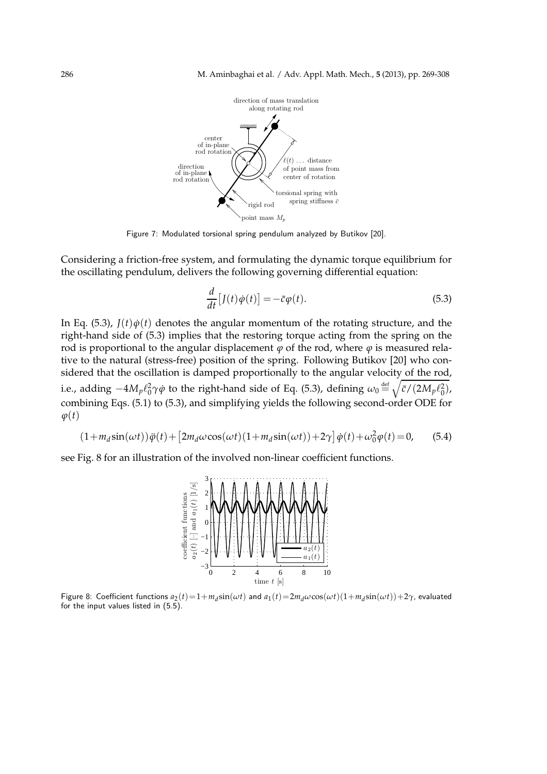

Figure 7: Modulated torsional spring pendulum analyzed by Butikov [20].

Considering a friction-free system, and formulating the dynamic torque equilibrium for the oscillating pendulum, delivers the following governing differential equation:

$$
\frac{d}{dt}\left[J(t)\dot{\varphi}(t)\right] = -\bar{c}\varphi(t). \tag{5.3}
$$

In Eq. (5.3),  $J(t)\dot{\varphi}(t)$  denotes the angular momentum of the rotating structure, and the right-hand side of (5.3) implies that the restoring torque acting from the spring on the rod is proportional to the angular displacement  $\varphi$  of the rod, where  $\varphi$  is measured relative to the natural (stress-free) position of the spring. Following Butikov [20] who considered that the oscillation is damped proportionally to the angular velocity of the rod, i.e., adding  $-4 M_p \ell_0^2 \gamma \dot{\phi}$  to the right-hand side of Eq. (5.3), defining  $\omega_0 \hbox{\small{$\;\stackrel{\text{def}}{=}\;$}} \sqrt{\bar{c}/(2 M_p \ell_0^2)}$ , combining Eqs. (5.1) to (5.3), and simplifying yields the following second-order ODE for  $\varphi(t)$ 

$$
(1 + m_d \sin(\omega t))\ddot{\varphi}(t) + \left[2m_d \omega \cos(\omega t)(1 + m_d \sin(\omega t)) + 2\gamma\right]\dot{\varphi}(t) + \omega_0^2 \varphi(t) = 0,\tag{5.4}
$$

see Fig. 8 for an illustration of the involved non-linear coefficient functions.



Figure 8: Coefficient functions  $a_2(t)=1+m_d\sin(\omega t)$  and  $a_1(t)=2m_d\omega\cos(\omega t)(1+m_d\sin(\omega t))+2\gamma$ , evaluated for the input values listed in (5.5).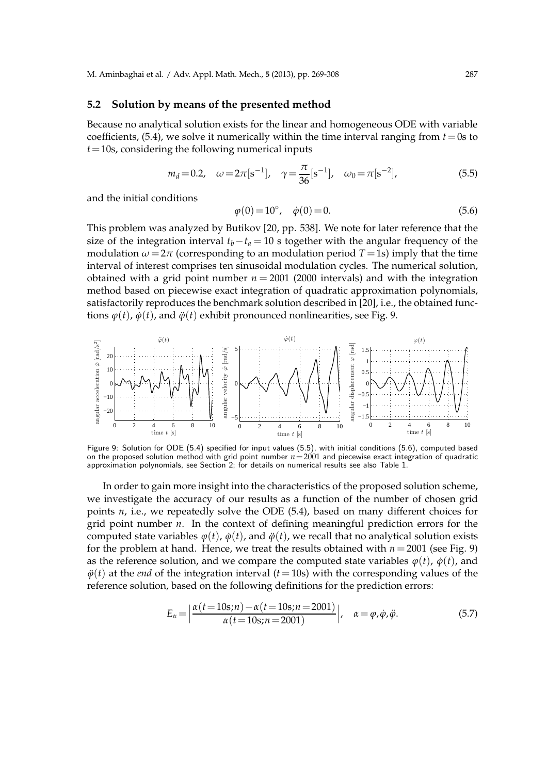#### **5.2 Solution by means of the presented method**

Because no analytical solution exists for the linear and homogeneous ODE with variable coefficients,  $(5.4)$ , we solve it numerically within the time interval ranging from  $t=0$ s to *t*=10s, considering the following numerical inputs

$$
m_d = 0.2
$$
,  $\omega = 2\pi[s^{-1}]$ ,  $\gamma = \frac{\pi}{36}[s^{-1}]$ ,  $\omega_0 = \pi[s^{-2}]$ , (5.5)

and the initial conditions

$$
\varphi(0) = 10^{\circ}, \quad \dot{\varphi}(0) = 0. \tag{5.6}
$$

This problem was analyzed by Butikov [20, pp. 538]. We note for later reference that the size of the integration interval  $t_b - t_a = 10$  s together with the angular frequency of the modulation  $\omega = 2\pi$  (corresponding to an modulation period  $T = 1$ s) imply that the time interval of interest comprises ten sinusoidal modulation cycles. The numerical solution, obtained with a grid point number  $n = 2001$  (2000 intervals) and with the integration method based on piecewise exact integration of quadratic approximation polynomials, satisfactorily reproduces the benchmark solution described in [20], i.e., the obtained functions  $\varphi(t)$ ,  $\dot{\varphi}(t)$ , and  $\ddot{\varphi}(t)$  exhibit pronounced nonlinearities, see Fig. 9.



Figure 9: Solution for ODE (5.4) specified for input values (5.5), with initial conditions (5.6), computed based on the proposed solution method with grid point number  $n=2001$  and piecewise exact integration of quadratic approximation polynomials, see Section 2; for details on numerical results see also Table 1.

In order to gain more insight into the characteristics of the proposed solution scheme, we investigate the accuracy of our results as a function of the number of chosen grid points *n*, i.e., we repeatedly solve the ODE (5.4), based on many different choices for grid point number *n*. In the context of defining meaningful prediction errors for the computed state variables  $\varphi(t)$ ,  $\dot{\varphi}(t)$ , and  $\ddot{\varphi}(t)$ , we recall that no analytical solution exists for the problem at hand. Hence, we treat the results obtained with  $n = 2001$  (see Fig. 9) as the reference solution, and we compare the computed state variables  $\varphi(t)$ ,  $\dot{\varphi}(t)$ , and  $\ddot{\varphi}(t)$  at the *end* of the integration interval ( $t = 10$ s) with the corresponding values of the reference solution, based on the following definitions for the prediction errors:

$$
E_{\alpha} = \left| \frac{\alpha(t = 10s; n) - \alpha(t = 10s; n = 2001)}{\alpha(t = 10s; n = 2001)} \right|, \quad \alpha = \varphi, \dot{\varphi}, \ddot{\varphi}.
$$
 (5.7)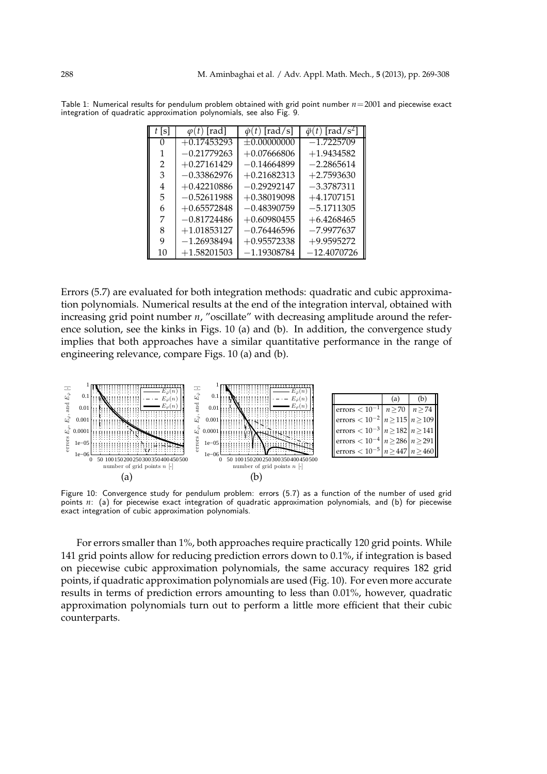| t s | $\varphi(t)$ [rad] | $\dot{\varphi}(t)$ [rad/s] | $\ddot{\varphi}(t)$ [rad/s <sup>2</sup> ] |
|-----|--------------------|----------------------------|-------------------------------------------|
| 0   | $+0.17453293$      | $\pm 0.0000000$            | $-1.7225709$                              |
| 1   | $-0.21779263$      | $+0.07666806$              | $+1.9434582$                              |
| 2   | $+0.27161429$      | $-0.14664899$              | $-2.2865614$                              |
| 3   | $-0.33862976$      | $+0.21682313$              | $+2.7593630$                              |
| 4   | $+0.42210886$      | $-0.29292147$              | $-3.3787311$                              |
| 5   | $-0.52611988$      | $+0.38019098$              | $+4.1707151$                              |
| 6   | $+0.65572848$      | $-0.48390759$              | $-5.1711305$                              |
| 7   | $-0.81724486$      | $+0.60980455$              | $+6.4268465$                              |
| 8   | $+1.01853127$      | $-0.76446596$              | $-7.9977637$                              |
| 9   | $-1.26938494$      | $+0.95572338$              | $+9.9595272$                              |
| 10  | $+1.58201503$      | $-1.19308784$              | $-12.4070726$                             |

Table 1: Numerical results for pendulum problem obtained with grid point number *n*=2001 and piecewise exact integration of quadratic approximation polynomials, see also Fig. 9.

Errors (5.7) are evaluated for both integration methods: quadratic and cubic approximation polynomials. Numerical results at the end of the integration interval, obtained with increasing grid point number *n*, "oscillate" with decreasing amplitude around the reference solution, see the kinks in Figs. 10 (a) and (b). In addition, the convergence study implies that both approaches have a similar quantitative performance in the range of engineering relevance, compare Figs. 10 (a) and (b).



Figure 10: Convergence study for pendulum problem: errors (5.7) as a function of the number of used grid points  $n$ : (a) for piecewise exact integration of quadratic approximation polynomials, and (b) for piecewise exact integration of cubic approximation polynomials.

For errors smaller than 1%, both approaches require practically 120 grid points. While 141 grid points allow for reducing prediction errors down to 0.1%, if integration is based on piecewise cubic approximation polynomials, the same accuracy requires 182 grid points, if quadratic approximation polynomials are used (Fig. 10). For even more accurate results in terms of prediction errors amounting to less than 0.01%, however, quadratic approximation polynomials turn out to perform a little more efficient that their cubic counterparts.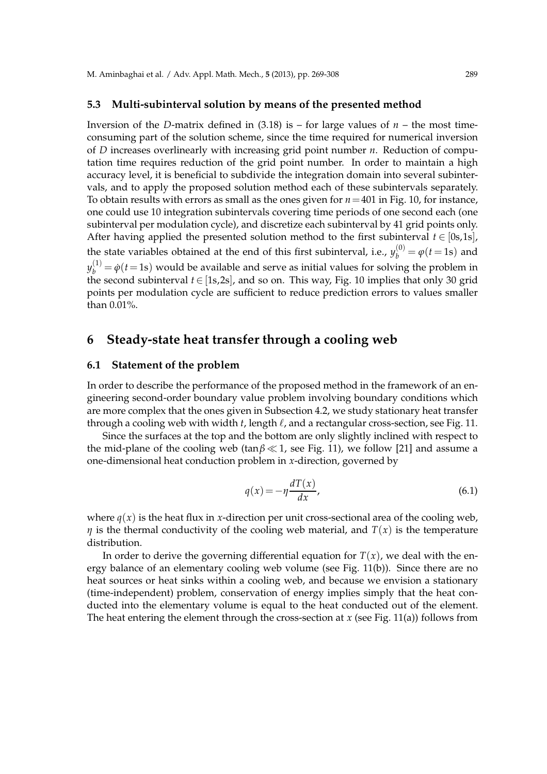#### **5.3 Multi-subinterval solution by means of the presented method**

Inversion of the *D*-matrix defined in  $(3.18)$  is – for large values of  $n$  – the most timeconsuming part of the solution scheme, since the time required for numerical inversion of *D* increases overlinearly with increasing grid point number *n*. Reduction of computation time requires reduction of the grid point number. In order to maintain a high accuracy level, it is beneficial to subdivide the integration domain into several subintervals, and to apply the proposed solution method each of these subintervals separately. To obtain results with errors as small as the ones given for *n*=401 in Fig. 10, for instance, one could use 10 integration subintervals covering time periods of one second each (one subinterval per modulation cycle), and discretize each subinterval by 41 grid points only. After having applied the presented solution method to the first subinterval  $t \in [0s,1s]$ , the state variables obtained at the end of this first subinterval, i.e.,  $y_b^{(0)} = \varphi(t=1s)$  and  $y_b^{(1)} = \dot{\varphi}(t=1\text{s})$  would be available and serve as initial values for solving the problem in the second subinterval *t*∈[1s,2s], and so on. This way, Fig. 10 implies that only 30 grid points per modulation cycle are sufficient to reduce prediction errors to values smaller than 0.01%.

## **6 Steady-state heat transfer through a cooling web**

#### **6.1 Statement of the problem**

In order to describe the performance of the proposed method in the framework of an engineering second-order boundary value problem involving boundary conditions which are more complex that the ones given in Subsection 4.2, we study stationary heat transfer through a cooling web with width *t*, length ℓ, and a rectangular cross-section, see Fig. 11.

Since the surfaces at the top and the bottom are only slightly inclined with respect to the mid-plane of the cooling web (tan*β* ≪ 1, see Fig. 11), we follow [21] and assume a one-dimensional heat conduction problem in *x*-direction, governed by

$$
q(x) = -\eta \frac{dT(x)}{dx},
$$
\n(6.1)

where  $q(x)$  is the heat flux in *x*-direction per unit cross-sectional area of the cooling web, *η* is the thermal conductivity of the cooling web material, and  $T(x)$  is the temperature distribution.

In order to derive the governing differential equation for  $T(x)$ , we deal with the energy balance of an elementary cooling web volume (see Fig. 11(b)). Since there are no heat sources or heat sinks within a cooling web, and because we envision a stationary (time-independent) problem, conservation of energy implies simply that the heat conducted into the elementary volume is equal to the heat conducted out of the element. The heat entering the element through the cross-section at *x* (see Fig. 11(a)) follows from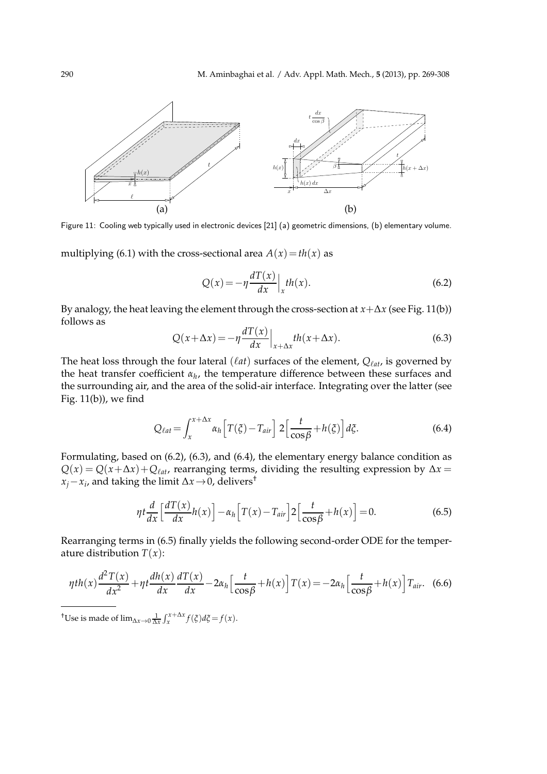

Figure 11: Cooling web typically used in electronic devices [21] (a) geometric dimensions, (b) elementary volume.

multiplying (6.1) with the cross-sectional area  $A(x) = th(x)$  as

$$
Q(x) = -\eta \frac{dT(x)}{dx} \Big|_{x} th(x). \tag{6.2}
$$

By analogy, the heat leaving the element through the cross-section at *x*+∆*x* (see Fig. 11(b)) follows as *dT*(*x*)

$$
Q(x + \Delta x) = -\eta \frac{dT(x)}{dx}\Big|_{x + \Delta x} th(x + \Delta x).
$$
 (6.3)

The heat loss through the four lateral (ℓ*at*) surfaces of the element, *Q*ℓ*at*, is governed by the heat transfer coefficient *α<sup>h</sup>* , the temperature difference between these surfaces and the surrounding air, and the area of the solid-air interface. Integrating over the latter (see Fig. 11(b)), we find

$$
Q_{\ell at} = \int_{x}^{x + \Delta x} \alpha_{h} \left[ T(\xi) - T_{air} \right] 2 \left[ \frac{t}{\cos \beta} + h(\xi) \right] d\xi.
$$
 (6.4)

Formulating, based on (6.2), (6.3), and (6.4), the elementary energy balance condition as  $Q(x) = Q(x + \Delta x) + Q_{\ell at}$ , rearranging terms, dividing the resulting expression by  $\Delta x =$ *xj*−*x<sup>i</sup>* , and taking the limit ∆*x*→0, delivers†

$$
\eta t \frac{d}{dx} \left[ \frac{d}{dx} \left[ \frac{d}{dx} h(x) \right] - \alpha_h \left[ T(x) - T_{air} \right] 2 \left[ \frac{t}{\cos \beta} + h(x) \right] = 0. \tag{6.5}
$$

Rearranging terms in (6.5) finally yields the following second-order ODE for the temperature distribution  $T(x)$ :

$$
\eta th(x)\frac{d^2T(x)}{dx^2} + \eta t \frac{dh(x)}{dx}\frac{dT(x)}{dx} - 2\alpha_h \left[\frac{t}{\cos\beta} + h(x)\right]T(x) = -2\alpha_h \left[\frac{t}{\cos\beta} + h(x)\right]T_{air}.\tag{6.6}
$$

<sup>†</sup>Use is made of  $\lim_{\Delta x \to 0} \frac{1}{\Delta x} \int_{x}^{x + \Delta x} f(\xi) d\xi = f(x)$ .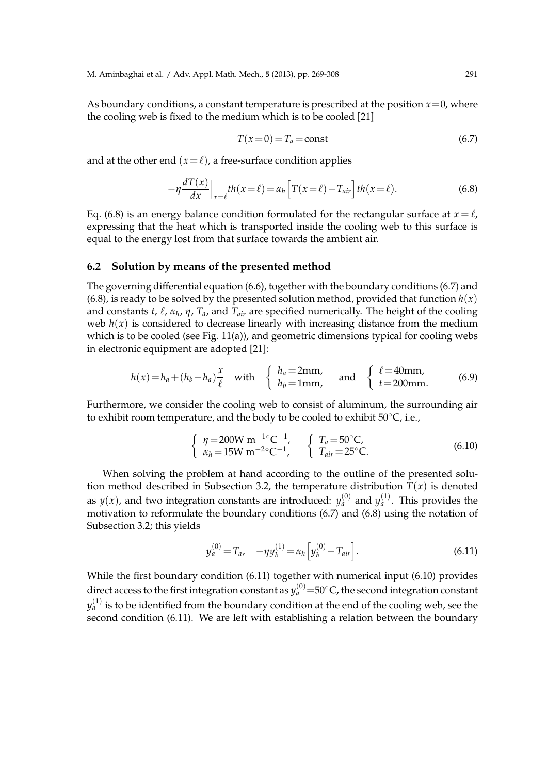As boundary conditions, a constant temperature is prescribed at the position  $x=0$ , where the cooling web is fixed to the medium which is to be cooled [21]

$$
T(x=0) = T_a = \text{const}
$$
\n
$$
(6.7)
$$

and at the other end  $(x = \ell)$ , a free-surface condition applies

$$
-\eta \frac{dT(x)}{dx}\Big|_{x=\ell}th(x=\ell) = \alpha_h \Big[T(x=\ell) - T_{air}\Big]th(x=\ell). \tag{6.8}
$$

Eq. (6.8) is an energy balance condition formulated for the rectangular surface at  $x = \ell$ , expressing that the heat which is transported inside the cooling web to this surface is equal to the energy lost from that surface towards the ambient air.

## **6.2 Solution by means of the presented method**

The governing differential equation (6.6), together with the boundary conditions (6.7) and (6.8), is ready to be solved by the presented solution method, provided that function  $h(x)$ and constants *t*, ℓ, *α<sup>h</sup>* , *η*, *Ta*, and *Tair* are specified numerically. The height of the cooling web  $h(x)$  is considered to decrease linearly with increasing distance from the medium which is to be cooled (see Fig. 11(a)), and geometric dimensions typical for cooling webs in electronic equipment are adopted [21]:

$$
h(x) = h_a + (h_b - h_a) \frac{x}{\ell} \quad \text{with} \quad \begin{cases} h_a = 2 \text{mm}, \\ h_b = 1 \text{mm}, \end{cases} \quad \text{and} \quad \begin{cases} \ell = 40 \text{mm}, \\ t = 200 \text{mm}. \end{cases} \tag{6.9}
$$

Furthermore, we consider the cooling web to consist of aluminum, the surrounding air to exhibit room temperature, and the body to be cooled to exhibit 50◦C, i.e.,

$$
\begin{cases}\n\eta = 200 \text{W m}^{-1} \text{C}^{-1}, \\
\alpha_h = 15 \text{W m}^{-2} \text{C}^{-1}, \\
\tau_{air} = 25 \text{C}.\n\end{cases}
$$
\n(6.10)

When solving the problem at hand according to the outline of the presented solution method described in Subsection 3.2, the temperature distribution  $T(x)$  is denoted as  $y(x)$ , and two integration constants are introduced:  $y_a^{(0)}$  and  $y_a^{(1)}$ . This provides the motivation to reformulate the boundary conditions (6.7) and (6.8) using the notation of Subsection 3.2; this yields

$$
y_a^{(0)} = T_a, \quad -\eta y_b^{(1)} = \alpha_h \left[ y_b^{(0)} - T_{air} \right]. \tag{6.11}
$$

While the first boundary condition (6.11) together with numerical input (6.10) provides direct access to the first integration constant as  $y_a^{(0)}{=}50^{\circ}$ C, the second integration constant  $y_{a}^{\left( 1\right) }$  is to be identified from the boundary condition at the end of the cooling web, see the second condition (6.11). We are left with establishing a relation between the boundary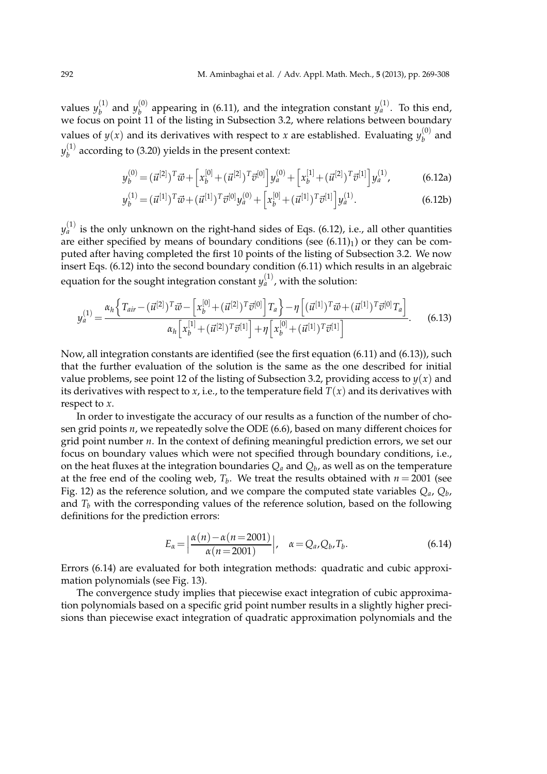values  $y_h^{(1)}$  $y_b^{(1)}$  and  $y_b^{(0)}$  $\sigma_b^{(0)}$  appearing in (6.11), and the integration constant  $y_a^{(1)}$ . To this end, we focus on point 11 of the listing in Subsection 3.2, where relations between boundary values of  $y(x)$  and its derivatives with respect to *x* are established. Evaluating  $y_h^{(0)}$  $b^{(0)}$  and *y* (1)  $b<sub>b</sub><sup>(1)</sup>$  according to (3.20) yields in the present context:

$$
y_b^{(0)} = (\vec{u}^{[2]})^T \vec{w} + \left[ x_b^{[0]} + (\vec{u}^{[2]})^T \vec{v}^{[0]} \right] y_a^{(0)} + \left[ x_b^{[1]} + (\vec{u}^{[2]})^T \vec{v}^{[1]} \right] y_a^{(1)}, \tag{6.12a}
$$

$$
y_b^{(1)} = (\vec{u}^{[1]})^T \vec{w} + (\vec{u}^{[1]})^T \vec{v}^{[0]} y_a^{(0)} + \left[ x_b^{[0]} + (\vec{u}^{[1]})^T \vec{v}^{[1]} \right] y_a^{(1)}.
$$
 (6.12b)

 $y_{a}^{\left( 1\right) }$  is the only unknown on the right-hand sides of Eqs. (6.12), i.e., all other quantities are either specified by means of boundary conditions (see  $(6.11)<sub>1</sub>$ ) or they can be computed after having completed the first 10 points of the listing of Subsection 3.2. We now insert Eqs. (6.12) into the second boundary condition (6.11) which results in an algebraic equation for the sought integration constant  $y_a^{(1)}$ , with the solution:

$$
y_a^{(1)} = \frac{\alpha_h \left\{ T_{air} - (\vec{\mathbf{u}}^{[2]})^T \vec{\mathbf{w}} - \left[ x_b^{[0]} + (\vec{\mathbf{u}}^{[2]})^T \vec{\mathbf{v}}^{[0]} \right] T_a \right\} - \eta \left[ (\vec{\mathbf{u}}^{[1]})^T \vec{\mathbf{w}} + (\vec{\mathbf{u}}^{[1]})^T \vec{\mathbf{v}}^{[0]} T_a \right]}{\alpha_h \left[ x_b^{[1]} + (\vec{\mathbf{u}}^{[2]})^T \vec{\mathbf{v}}^{[1]} \right] + \eta \left[ x_b^{[0]} + (\vec{\mathbf{u}}^{[1]})^T \vec{\mathbf{v}}^{[1]} \right]}.
$$
(6.13)

Now, all integration constants are identified (see the first equation (6.11) and (6.13)), such that the further evaluation of the solution is the same as the one described for initial value problems, see point 12 of the listing of Subsection 3.2, providing access to  $y(x)$  and its derivatives with respect to *x*, i.e., to the temperature field  $T(x)$  and its derivatives with respect to *x*.

In order to investigate the accuracy of our results as a function of the number of chosen grid points *n*, we repeatedly solve the ODE (6.6), based on many different choices for grid point number *n*. In the context of defining meaningful prediction errors, we set our focus on boundary values which were not specified through boundary conditions, i.e., on the heat fluxes at the integration boundaries  $Q_a$  and  $Q_b$ , as well as on the temperature at the free end of the cooling web,  $T_b$ . We treat the results obtained with  $n = 2001$  (see Fig. 12) as the reference solution, and we compare the computed state variables *Qa*, *Q<sup>b</sup>* , and  $T_b$  with the corresponding values of the reference solution, based on the following definitions for the prediction errors:

$$
E_{\alpha} = \left| \frac{\alpha(n) - \alpha(n = 2001)}{\alpha(n = 2001)} \right|, \quad \alpha = Q_a, Q_b, T_b.
$$
\n
$$
(6.14)
$$

Errors (6.14) are evaluated for both integration methods: quadratic and cubic approximation polynomials (see Fig. 13).

The convergence study implies that piecewise exact integration of cubic approximation polynomials based on a specific grid point number results in a slightly higher precisions than piecewise exact integration of quadratic approximation polynomials and the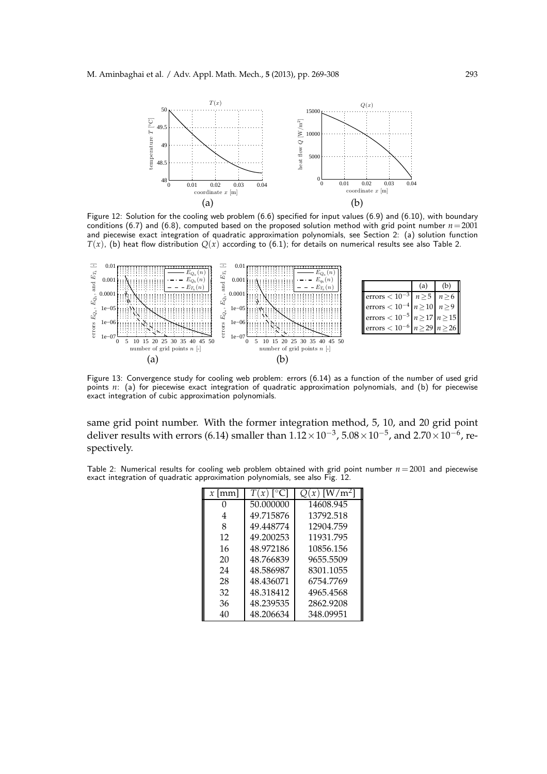

Figure 12: Solution for the cooling web problem (6.6) specified for input values (6.9) and (6.10), with boundary conditions (6.7) and (6.8), computed based on the proposed solution method with grid point number  $n=2001$ and piecewise exact integration of quadratic approximation polynomials, see Section 2: (a) solution function  $T(x)$ , (b) heat flow distribution  $Q(x)$  according to (6.1); for details on numerical results see also Table 2.



Figure 13: Convergence study for cooling web problem: errors (6.14) as a function of the number of used grid points *n*: (a) for piecewise exact integration of quadratic approximation polynomials, and (b) for piecewise exact integration of cubic approximation polynomials.

same grid point number. With the former integration method, 5, 10, and 20 grid point deliver results with errors (6.14) smaller than  $1.12\times10^{-3}$ ,  $5.08\times10^{-5}$ , and  $2.70\times10^{-6}$ , respectively.

Table 2: Numerical results for cooling web problem obtained with grid point number *n* = 2001 and piecewise exact integration of quadratic approximation polynomials, see also Fig. 12.

| $x$ [mm] | [°C]<br>T(x) | $Q(x)$ [W/m <sup>2</sup> ] |
|----------|--------------|----------------------------|
|          | 50.000000    | 14608.945                  |
| 4        | 49.715876    | 13792.518                  |
| 8        | 49.448774    | 12904.759                  |
| 12       | 49.200253    | 11931.795                  |
| 16       | 48.972186    | 10856.156                  |
| 20       | 48.766839    | 9655.5509                  |
| 24       | 48.586987    | 8301.1055                  |
| 28       | 48.436071    | 6754.7769                  |
| 32       | 48.318412    | 4965.4568                  |
| 36       | 48.239535    | 2862.9208                  |
| 40       | 48.206634    | 348.09951                  |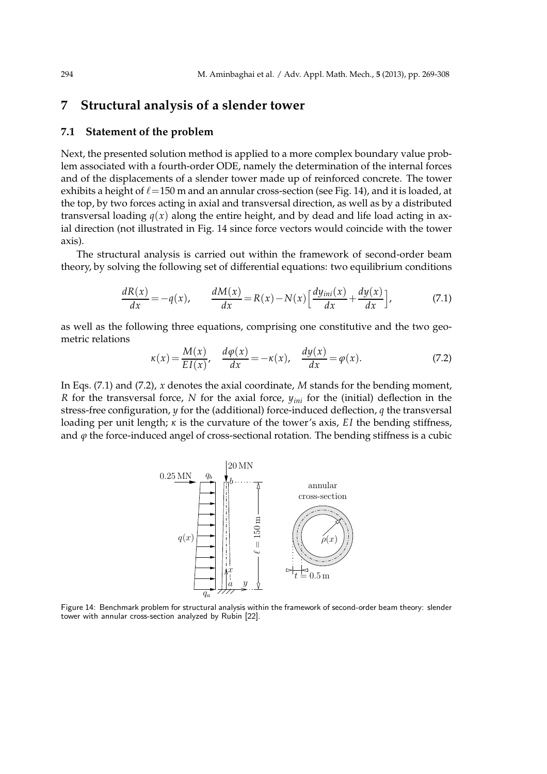## **7 Structural analysis of a slender tower**

## **7.1 Statement of the problem**

Next, the presented solution method is applied to a more complex boundary value problem associated with a fourth-order ODE, namely the determination of the internal forces and of the displacements of a slender tower made up of reinforced concrete. The tower exhibits a height of  $\ell$  = 150 m and an annular cross-section (see Fig. 14), and it is loaded, at the top, by two forces acting in axial and transversal direction, as well as by a distributed transversal loading  $q(x)$  along the entire height, and by dead and life load acting in axial direction (not illustrated in Fig. 14 since force vectors would coincide with the tower axis).

The structural analysis is carried out within the framework of second-order beam theory, by solving the following set of differential equations: two equilibrium conditions

$$
\frac{dR(x)}{dx} = -q(x), \qquad \frac{dM(x)}{dx} = R(x) - N(x) \left[ \frac{dy_{ini}(x)}{dx} + \frac{dy(x)}{dx} \right],\tag{7.1}
$$

as well as the following three equations, comprising one constitutive and the two geometric relations

$$
\kappa(x) = \frac{M(x)}{EI(x)}, \quad \frac{d\varphi(x)}{dx} = -\kappa(x), \quad \frac{dy(x)}{dx} = \varphi(x). \tag{7.2}
$$

In Eqs. (7.1) and (7.2), *x* denotes the axial coordinate, *M* stands for the bending moment, *R* for the transversal force, *N* for the axial force, *yini* for the (initial) deflection in the stress-free configuration, *y* for the (additional) force-induced deflection, *q* the transversal loading per unit length; *κ* is the curvature of the tower's axis, *EI* the bending stiffness, and  $\varphi$  the force-induced angel of cross-sectional rotation. The bending stiffness is a cubic



Figure 14: Benchmark problem for structural analysis within the framework of second-order beam theory: slender tower with annular cross-section analyzed by Rubin [22].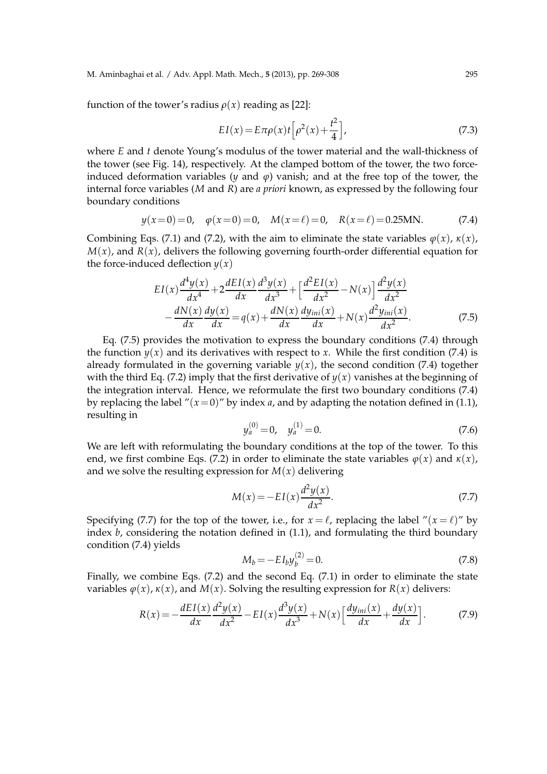#### M. Aminbaghai et al. / Adv. Appl. Math. Mech., **5** (2013), pp. 269-308 295

function of the tower's radius  $\rho(x)$  reading as [22]:

$$
EI(x) = E\pi\rho(x)t\left[\rho^2(x) + \frac{t^2}{4}\right],
$$
\n(7.3)

where *E* and *t* denote Young's modulus of the tower material and the wall-thickness of the tower (see Fig. 14), respectively. At the clamped bottom of the tower, the two forceinduced deformation variables ( $y$  and  $\varphi$ ) vanish; and at the free top of the tower, the internal force variables (*M* and *R*) are *a priori* known, as expressed by the following four boundary conditions

$$
y(x=0) = 0
$$
,  $\varphi(x=0) = 0$ ,  $M(x=\ell) = 0$ ,  $R(x=\ell) = 0.25$ MN. (7.4)

Combining Eqs. (7.1) and (7.2), with the aim to eliminate the state variables  $\varphi(x)$ ,  $\kappa(x)$ ,  $M(x)$ , and  $R(x)$ , delivers the following governing fourth-order differential equation for the force-induced deflection  $y(x)$ 

$$
EI(x)\frac{d^4y(x)}{dx^4} + 2\frac{dEI(x)}{dx}\frac{d^3y(x)}{dx^3} + \left[\frac{d^2EI(x)}{dx^2} - N(x)\right]\frac{d^2y(x)}{dx^2} - \frac{dN(x)}{dx}\frac{dy(x)}{dx} = q(x) + \frac{dN(x)}{dx}\frac{dy_{ini}(x)}{dx} + N(x)\frac{d^2y_{ini}(x)}{dx^2}.
$$
(7.5)

Eq. (7.5) provides the motivation to express the boundary conditions (7.4) through the function  $y(x)$  and its derivatives with respect to *x*. While the first condition (7.4) is already formulated in the governing variable  $y(x)$ , the second condition (7.4) together with the third Eq. (7.2) imply that the first derivative of  $y(x)$  vanishes at the beginning of the integration interval. Hence, we reformulate the first two boundary conditions (7.4) by replacing the label " $(x=0)$ " by index *a*, and by adapting the notation defined in (1.1), resulting in

$$
y_a^{(0)} = 0, \quad y_a^{(1)} = 0.
$$
 (7.6)

We are left with reformulating the boundary conditions at the top of the tower. To this end, we first combine Eqs. (7.2) in order to eliminate the state variables  $\varphi(x)$  and  $\kappa(x)$ , and we solve the resulting expression for  $M(x)$  delivering

$$
M(x) = -EI(x)\frac{d^2y(x)}{dx^2}.
$$
 (7.7)

Specifying (7.7) for the top of the tower, i.e., for  $x = \ell$ , replacing the label " $(x = \ell)$ " by index *b*, considering the notation defined in (1.1), and formulating the third boundary condition (7.4) yields

$$
M_b = -EI_b y_b^{(2)} = 0.
$$
\n(7.8)

Finally, we combine Eqs. (7.2) and the second Eq. (7.1) in order to eliminate the state variables  $\varphi(x)$ ,  $\kappa(x)$ , and  $M(x)$ . Solving the resulting expression for  $R(x)$  delivers:

$$
R(x) = -\frac{dE I(x)}{dx} \frac{d^2 y(x)}{dx^2} - EI(x) \frac{d^3 y(x)}{dx^3} + N(x) \left[ \frac{dy_{ini}(x)}{dx} + \frac{dy(x)}{dx} \right].
$$
 (7.9)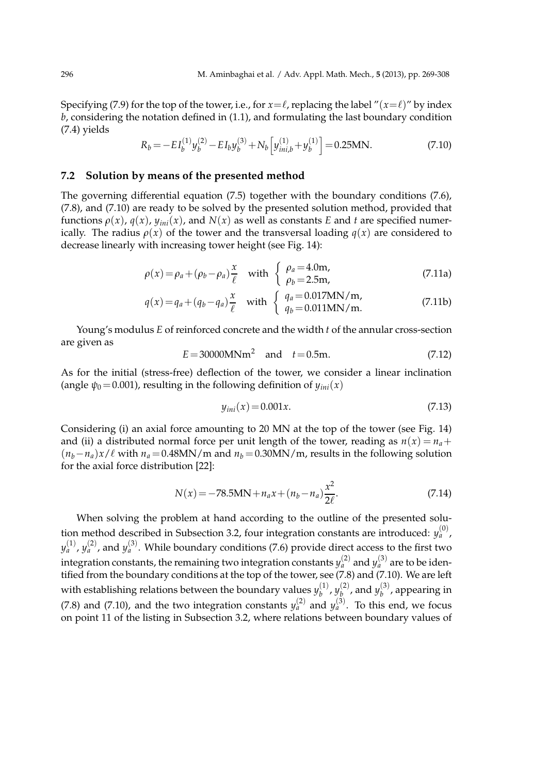Specifying (7.9) for the top of the tower, i.e., for  $x = \ell$ , replacing the label " $(x = \ell)$ " by index *b*, considering the notation defined in (1.1), and formulating the last boundary condition (7.4) yields

$$
R_b = -EI_b^{(1)}y_b^{(2)} - EI_by_b^{(3)} + N_b\left[y_{ini,b}^{(1)} + y_b^{(1)}\right] = 0.25 \text{MN}.
$$
\n(7.10)

### **7.2 Solution by means of the presented method**

The governing differential equation (7.5) together with the boundary conditions (7.6), (7.8), and (7.10) are ready to be solved by the presented solution method, provided that functions  $\rho(x)$ ,  $q(x)$ ,  $y_{ini}(x)$ , and  $N(x)$  as well as constants *E* and *t* are specified numerically. The radius  $\rho(x)$  of the tower and the transversal loading  $q(x)$  are considered to decrease linearly with increasing tower height (see Fig. 14):

$$
\rho(x) = \rho_a + (\rho_b - \rho_a) \frac{x}{\ell} \quad \text{with } \begin{cases} \rho_a = 4.0 \text{m}, \\ \rho_b = 2.5 \text{m}, \end{cases}
$$
\n(7.11a)

$$
q(x) = q_a + (q_b - q_a) \frac{x}{\ell} \quad \text{with} \quad \begin{cases} \quad q_a = 0.017 \text{MN/m}, \\ \quad q_b = 0.011 \text{MN/m}. \end{cases} \tag{7.11b}
$$

Young's modulus *E* of reinforced concrete and the width *t* of the annular cross-section are given as

$$
E = 30000 \text{MNm}^2
$$
 and  $t = 0.5 \text{m}$ . (7.12)

As for the initial (stress-free) deflection of the tower, we consider a linear inclination (angle  $\psi_0$  = 0.001), resulting in the following definition of  $y_{ini}(x)$ 

$$
y_{ini}(x) = 0.001x.\t(7.13)
$$

Considering (i) an axial force amounting to 20 MN at the top of the tower (see Fig. 14) and (ii) a distributed normal force per unit length of the tower, reading as  $n(x) = n_a +$  $(n_b - n_a)x/\ell$  with  $n_a = 0.48MN/m$  and  $n_b = 0.30MN/m$ , results in the following solution for the axial force distribution [22]:

$$
N(x) = -78.5MN + n_a x + (n_b - n_a) \frac{x^2}{2\ell}.
$$
 (7.14)

When solving the problem at hand according to the outline of the presented solution method described in Subsection 3.2, four integration constants are introduced:  $y_a^{(0)}$ ,  $y_{a}^{(1)}$ ,  $y_{a}^{(2)}$ , and  $y_{a}^{(3)}$ . While boundary conditions (7.6) provide direct access to the first two integration constants*,* the remaining two integration constants  $y_a^{(2)}$  and  $y_a^{(3)}$  are to be identified from the boundary conditions at the top of the tower, see  $(7.8)$  and  $(7.10)$ . We are left with establishing relations between the boundary values  $y_h^{(1)}$  $y_b^{(1)}$ ,  $y_b^{(2)}$  $\binom{2}{b}$ , and  $y_{b}^{(3)}$  $b^{(0)}$ , appearing in (7.8) and (7.10), and the two integration constants  $y_a^{(2)}$  and  $y_a^{(3)}$ . To this end, we focus on point 11 of the listing in Subsection 3.2, where relations between boundary values of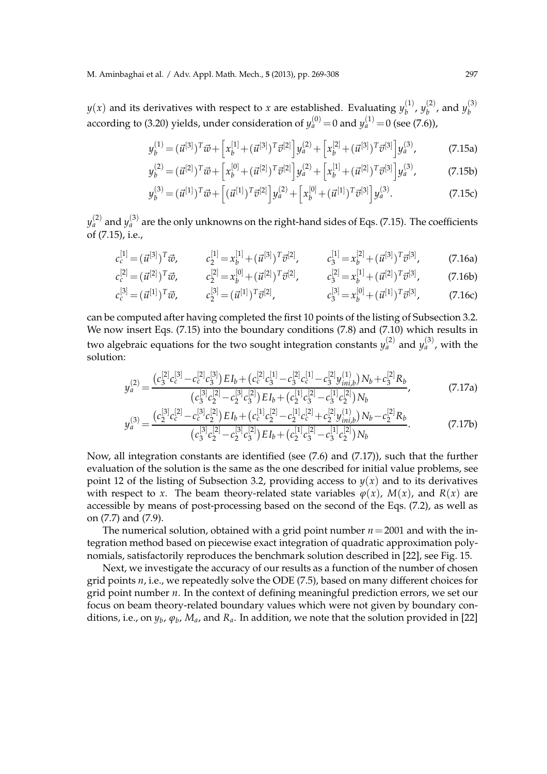$y(x)$  and its derivatives with respect to *x* are established. Evaluating  $y_h^{(1)}$  $y_b^{(1)}$ ,  $y_b^{(2)}$  $\binom{2}{b}$ , and  $y_{b}^{(3)}$ *b* according to (3.20) yields, under consideration of  $y_{a}^{(0)}\!=\!0$  and  $y_{a}^{(1)}\!=\!0$  (see (7.6)),

$$
y_b^{(1)} = (\vec{u}^{[3]})^T \vec{w} + \left[ x_b^{[1]} + (\vec{u}^{[3]})^T \vec{v}^{[2]} \right] y_a^{(2)} + \left[ x_b^{[2]} + (\vec{u}^{[3]})^T \vec{v}^{[3]} \right] y_a^{(3)}, \tag{7.15a}
$$

$$
y_b^{(2)} = (\vec{u}^{[2]})^T \vec{w} + \left[ x_b^{[0]} + (\vec{u}^{[2]})^T \vec{v}^{[2]} \right] y_a^{(2)} + \left[ x_b^{[1]} + (\vec{u}^{[2]})^T \vec{v}^{[3]} \right] y_a^{(3)}, \tag{7.15b}
$$

$$
y_b^{(3)} = (\vec{u}^{[1]})^T \vec{w} + [(\vec{u}^{[1]})^T \vec{v}^{[2]}] y_a^{(2)} + [x_b^{[0]} + (\vec{u}^{[1]})^T \vec{v}^{[3]}] y_a^{(3)}.
$$
 (7.15c)

 $y_{a}^{(2)}$  and  $y_{a}^{(3)}$  are the only unknowns on the right-hand sides of Eqs. (7.15). The coefficients of (7.15), i.e.,

$$
c_c^{[1]} = (\vec{u}^{[3]})^T \vec{w}, \qquad c_2^{[1]} = x_b^{[1]} + (\vec{u}^{[3]})^T \vec{v}^{[2]}, \qquad c_3^{[1]} = x_b^{[2]} + (\vec{u}^{[3]})^T \vec{v}^{[3]}, \qquad (7.16a)
$$

$$
c_c^{[2]} = (\vec{u}^{[2]})^T \vec{w}, \qquad c_c^{[2]} = x_b^{[0]} + (\vec{u}^{[2]})^T \vec{v}^{[2]}, \qquad c_c^{[2]} = x_b^{[1]} + (\vec{u}^{[2]})^T \vec{v}^{[3]}, \qquad (7.16b)
$$

$$
c_c^{[2]} = (\vec{u}^{[2]})^T \vec{w}, \qquad c_2^{[2]} = x_b^{[0]} + (\vec{u}^{[2]})^T \vec{v}^{[2]}, \qquad c_3^{[2]} = x_b^{[1]} + (\vec{u}^{[2]})^T \vec{v}^{[3]}, \qquad (7.16b)
$$
  

$$
c_c^{[3]} = (\vec{u}^{[1]})^T \vec{w}, \qquad c_2^{[3]} = (\vec{u}^{[1]})^T \vec{v}^{[2]}, \qquad c_3^{[3]} = x_b^{[0]} + (\vec{u}^{[1]})^T \vec{v}^{[3]}, \qquad (7.16c)
$$

can be computed after having completed the first 10 points of the listing of Subsection 3.2. We now insert Eqs. (7.15) into the boundary conditions (7.8) and (7.10) which results in two algebraic equations for the two sought integration constants  $y_a^{(2)}$  and  $y_a^{(3)}$ , with the solution:

$$
y_a^{(2)} = \frac{(c_3^{[2]}c_c^{[3]} - c_c^{[2]}c_3^{[3]})E I_b + (c_c^{[2]}c_3^{[1]} - c_3^{[2]}c_c^{[1]} - c_3^{[2]}y_{ini,b}^{(1)})N_b + c_3^{[2]}R_b}{(c_3^{[3]}c_2^{[2]} - c_2^{[3]}c_3^{[2]})E I_b + (c_2^{[1]}c_3^{[2]} - c_3^{[1]}c_2^{[2]})N_b},
$$
(7.17a)

$$
y_a^{(3)} = \frac{(c_2^{[3]}c_c^{[2]} - c_c^{[3]}c_2^{[2]})EI_b + (c_c^{[1]}c_2^{[2]} - c_2^{[1]}c_c^{[2]} + c_2^{[2]}y_{ini,b}^{(1)})N_b - c_2^{[2]}R_b}{(c_3^{[3]}c_2^{[2]} - c_2^{[3]}c_3^{[2]})EI_b + (c_2^{[1]}c_3^{[2]} - c_3^{[1]}c_2^{[2]})N_b}.
$$
(7.17b)

Now, all integration constants are identified (see (7.6) and (7.17)), such that the further evaluation of the solution is the same as the one described for initial value problems, see point 12 of the listing of Subsection 3.2, providing access to  $y(x)$  and to its derivatives with respect to *x*. The beam theory-related state variables  $\varphi(x)$ ,  $M(x)$ , and  $R(x)$  are accessible by means of post-processing based on the second of the Eqs. (7.2), as well as on (7.7) and (7.9).

The numerical solution, obtained with a grid point number *n*=2001 and with the integration method based on piecewise exact integration of quadratic approximation polynomials, satisfactorily reproduces the benchmark solution described in [22], see Fig. 15.

Next, we investigate the accuracy of our results as a function of the number of chosen grid points *n*, i.e., we repeatedly solve the ODE (7.5), based on many different choices for grid point number *n*. In the context of defining meaningful prediction errors, we set our focus on beam theory-related boundary values which were not given by boundary conditions, i.e., on  $y_b$ ,  $\varphi_b$ ,  $M_a$ , and  $R_a$ . In addition, we note that the solution provided in [22]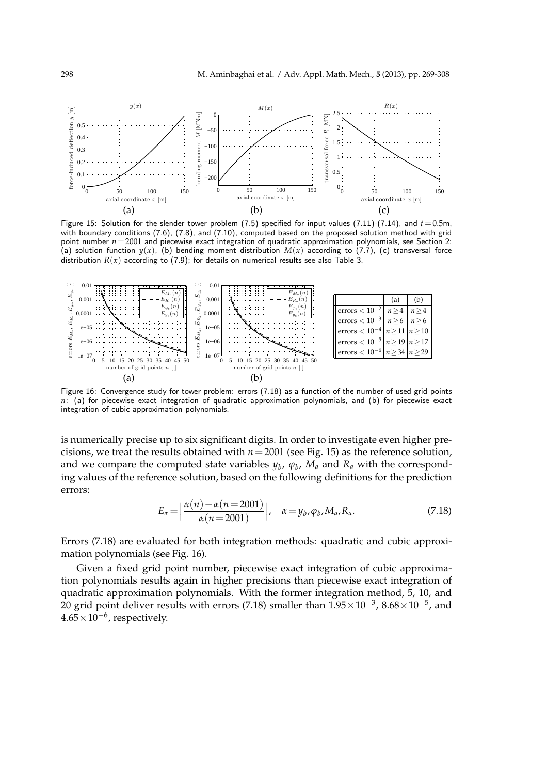

Figure 15: Solution for the slender tower problem (7.5) specified for input values (7.11)-(7.14), and  $t = 0.5$ m, with boundary conditions (7.6), (7.8), and (7.10), computed based on the proposed solution method with grid point number  $n=2001$  and piecewise exact integration of quadratic approximation polynomials, see Section 2: (a) solution function  $y(x)$ , (b) bending moment distribution  $M(x)$  according to (7.7), (c) transversal force distribution  $R(x)$  according to (7.9); for details on numerical results see also Table 3.



Figure 16: Convergence study for tower problem: errors (7.18) as a function of the number of used grid points *n*: (a) for piecewise exact integration of quadratic approximation polynomials, and (b) for piecewise exact integration of cubic approximation polynomials.

is numerically precise up to six significant digits. In order to investigate even higher precisions, we treat the results obtained with  $n=2001$  (see Fig. 15) as the reference solution, and we compare the computed state variables  $y_b$ ,  $\varphi_b$ ,  $M_a$  and  $R_a$  with the corresponding values of the reference solution, based on the following definitions for the prediction errors:

$$
E_{\alpha} = \left| \frac{\alpha(n) - \alpha(n = 2001)}{\alpha(n = 2001)} \right|, \quad \alpha = y_b, \varphi_b, M_a, R_a.
$$
 (7.18)

Errors (7.18) are evaluated for both integration methods: quadratic and cubic approximation polynomials (see Fig. 16).

Given a fixed grid point number, piecewise exact integration of cubic approximation polynomials results again in higher precisions than piecewise exact integration of quadratic approximation polynomials. With the former integration method, 5, 10, and 20 grid point deliver results with errors (7.18) smaller than 1.95 $\times$ 10<sup>-3</sup>, 8.68 $\times$ 10<sup>-5</sup>, and  $4.65\times10^{-6}$ , respectively.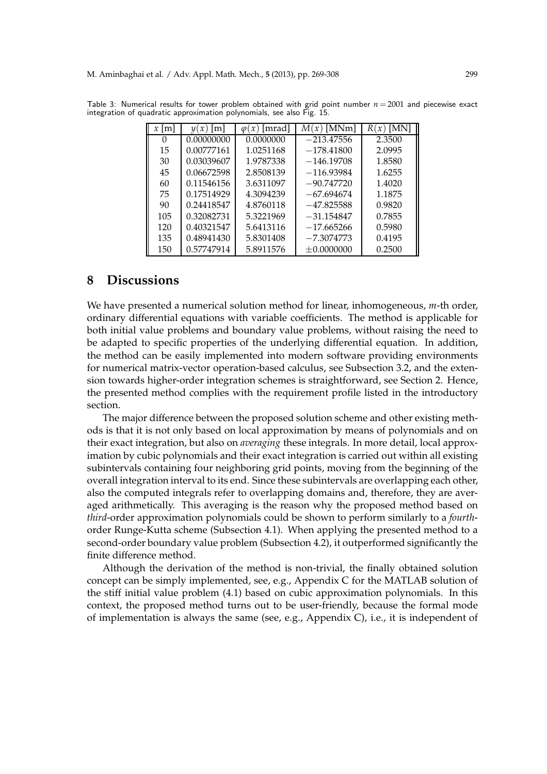| $x \mid m \mid$ | m <br>$\mathcal{U}(\mathcal{X})$ | [mrad]<br>$\mathcal{X}$ )<br>$\varphi$ | $M(x)$ [MNm]   | R۱     |
|-----------------|----------------------------------|----------------------------------------|----------------|--------|
| 0               | 0.00000000                       | 0.0000000                              | $-213.47556$   | 2.3500 |
| 15              | 0.00777161                       | 1.0251168                              | $-178.41800$   | 2.0995 |
| 30              | 0.03039607                       | 1.9787338                              | $-146.19708$   | 1.8580 |
| 45              | 0.06672598                       | 2.8508139                              | $-116.93984$   | 1.6255 |
| 60              | 0.11546156                       | 3.6311097                              | $-90.747720$   | 1.4020 |
| 75              | 0.17514929                       | 4.3094239                              | $-67.694674$   | 1.1875 |
| 90              | 0.24418547                       | 4.8760118                              | $-47.825588$   | 0.9820 |
| 105             | 0.32082731                       | 5.3221969                              | $-31.154847$   | 0.7855 |
| 120             | 0.40321547                       | 5.6413116                              | $-17.665266$   | 0.5980 |
| 135             | 0.48941430                       | 5.8301408                              | $-7.3074773$   | 0.4195 |
| 150             | 0.57747914                       | 5.8911576                              | $\pm 0.000000$ | 0.2500 |

Table 3: Numerical results for tower problem obtained with grid point number  $n = 2001$  and piecewise exact integration of quadratic approximation polynomials, see also Fig. 15.

## **8 Discussions**

We have presented a numerical solution method for linear, inhomogeneous, *m*-th order, ordinary differential equations with variable coefficients. The method is applicable for both initial value problems and boundary value problems, without raising the need to be adapted to specific properties of the underlying differential equation. In addition, the method can be easily implemented into modern software providing environments for numerical matrix-vector operation-based calculus, see Subsection 3.2, and the extension towards higher-order integration schemes is straightforward, see Section 2. Hence, the presented method complies with the requirement profile listed in the introductory section.

The major difference between the proposed solution scheme and other existing methods is that it is not only based on local approximation by means of polynomials and on their exact integration, but also on *averaging* these integrals. In more detail, local approximation by cubic polynomials and their exact integration is carried out within all existing subintervals containing four neighboring grid points, moving from the beginning of the overall integration interval to its end. Since these subintervals are overlapping each other, also the computed integrals refer to overlapping domains and, therefore, they are averaged arithmetically. This averaging is the reason why the proposed method based on *third*-order approximation polynomials could be shown to perform similarly to a *fourth*order Runge-Kutta scheme (Subsection 4.1). When applying the presented method to a second-order boundary value problem (Subsection 4.2), it outperformed significantly the finite difference method.

Although the derivation of the method is non-trivial, the finally obtained solution concept can be simply implemented, see, e.g., Appendix C for the MATLAB solution of the stiff initial value problem (4.1) based on cubic approximation polynomials. In this context, the proposed method turns out to be user-friendly, because the formal mode of implementation is always the same (see, e.g., Appendix C), i.e., it is independent of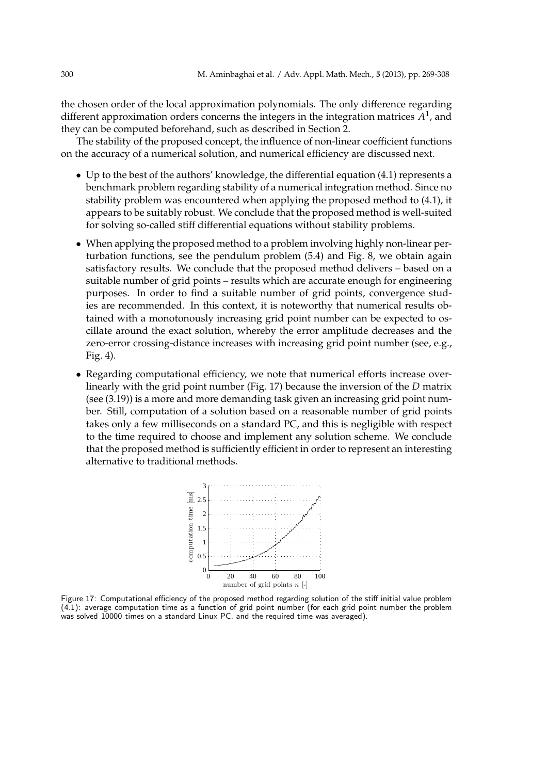the chosen order of the local approximation polynomials. The only difference regarding different approximation orders concerns the integers in the integration matrices  $A^1$ , and they can be computed beforehand, such as described in Section 2.

The stability of the proposed concept, the influence of non-linear coefficient functions on the accuracy of a numerical solution, and numerical efficiency are discussed next.

- Up to the best of the authors' knowledge, the differential equation (4.1) represents a benchmark problem regarding stability of a numerical integration method. Since no stability problem was encountered when applying the proposed method to (4.1), it appears to be suitably robust. We conclude that the proposed method is well-suited for solving so-called stiff differential equations without stability problems.
- When applying the proposed method to a problem involving highly non-linear perturbation functions, see the pendulum problem (5.4) and Fig. 8, we obtain again satisfactory results. We conclude that the proposed method delivers – based on a suitable number of grid points – results which are accurate enough for engineering purposes. In order to find a suitable number of grid points, convergence studies are recommended. In this context, it is noteworthy that numerical results obtained with a monotonously increasing grid point number can be expected to oscillate around the exact solution, whereby the error amplitude decreases and the zero-error crossing-distance increases with increasing grid point number (see, e.g., Fig. 4).
- Regarding computational efficiency, we note that numerical efforts increase overlinearly with the grid point number (Fig. 17) because the inversion of the *D* matrix (see (3.19)) is a more and more demanding task given an increasing grid point number. Still, computation of a solution based on a reasonable number of grid points takes only a few milliseconds on a standard PC, and this is negligible with respect to the time required to choose and implement any solution scheme. We conclude that the proposed method is sufficiently efficient in order to represent an interesting alternative to traditional methods.



Figure 17: Computational efficiency of the proposed method regarding solution of the stiff initial value problem (4.1): average computation time as a function of grid point number (for each grid point number the problem was solved 10000 times on a standard Linux PC, and the required time was averaged).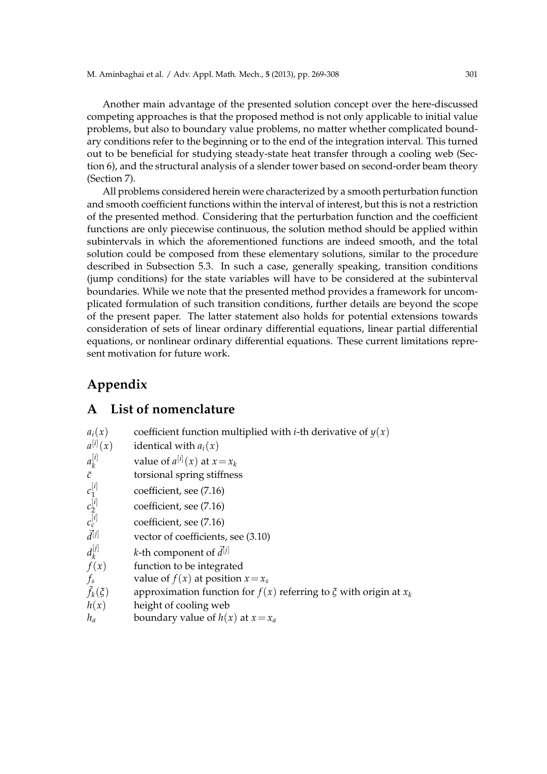Another main advantage of the presented solution concept over the here-discussed competing approaches is that the proposed method is not only applicable to initial value problems, but also to boundary value problems, no matter whether complicated boundary conditions refer to the beginning or to the end of the integration interval. This turned out to be beneficial for studying steady-state heat transfer through a cooling web (Section 6), and the structural analysis of a slender tower based on second-order beam theory (Section 7).

All problems considered herein were characterized by a smooth perturbation function and smooth coefficient functions within the interval of interest, but this is not a restriction of the presented method. Considering that the perturbation function and the coefficient functions are only piecewise continuous, the solution method should be applied within subintervals in which the aforementioned functions are indeed smooth, and the total solution could be composed from these elementary solutions, similar to the procedure described in Subsection 5.3. In such a case, generally speaking, transition conditions (jump conditions) for the state variables will have to be considered at the subinterval boundaries. While we note that the presented method provides a framework for uncomplicated formulation of such transition conditions, further details are beyond the scope of the present paper. The latter statement also holds for potential extensions towards consideration of sets of linear ordinary differential equations, linear partial differential equations, or nonlinear ordinary differential equations. These current limitations represent motivation for future work.

# **Appendix**

# **A List of nomenclature**

| coefficient function multiplied with <i>i</i> -th derivative of $y(x)$    |
|---------------------------------------------------------------------------|
| identical with $a_i(x)$                                                   |
| value of $a^{[i]}(x)$ at $x = x_k$                                        |
| torsional spring stiffness                                                |
| coefficient, see (7.16)                                                   |
| coefficient, see (7.16)                                                   |
| coefficient, see (7.16)                                                   |
| vector of coefficients, see (3.10)                                        |
| <i>k</i> -th component of $\vec{d}^{[j]}$                                 |
| function to be integrated                                                 |
| value of $f(x)$ at position $x = x_s$                                     |
| approximation function for $f(x)$ referring to $\xi$ with origin at $x_k$ |
| height of cooling web                                                     |
| boundary value of $h(x)$ at $x = x_a$                                     |
|                                                                           |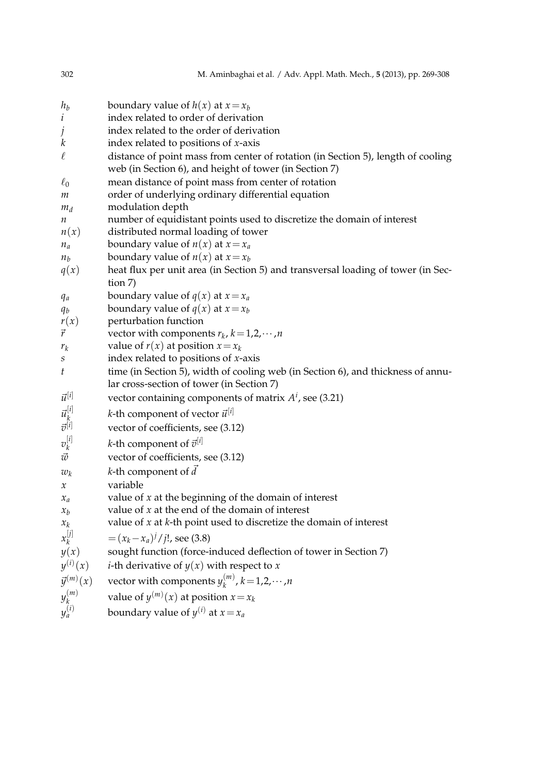| 302                | M. Aminbaghai et al. / Adv. Appl. Math. Mech., 5 (2013), pp. 269-308                        |
|--------------------|---------------------------------------------------------------------------------------------|
| $h_b$              | boundary value of $h(x)$ at $x = x_b$                                                       |
| $\dot{\iota}$      | index related to order of derivation                                                        |
| Ĵ                  | index related to the order of derivation                                                    |
| k                  | index related to positions of $x$ -axis                                                     |
| $\ell$             | distance of point mass from center of rotation (in Section 5), length of cooling            |
|                    | web (in Section 6), and height of tower (in Section 7)                                      |
| $\ell_0$           | mean distance of point mass from center of rotation                                         |
| m                  | order of underlying ordinary differential equation                                          |
| $m_d$              | modulation depth                                                                            |
| п                  | number of equidistant points used to discretize the domain of interest                      |
| n(x)               | distributed normal loading of tower                                                         |
| $n_a$              | boundary value of $n(x)$ at $x = x_a$                                                       |
| $n_b$              | boundary value of $n(x)$ at $x = x_b$                                                       |
| q(x)               | heat flux per unit area (in Section 5) and transversal loading of tower (in Sec-<br>tion 7) |
| $q_a$              | boundary value of $q(x)$ at $x = x_a$                                                       |
| $q_b$              | boundary value of $q(x)$ at $x = x_b$                                                       |
| r(x)               | perturbation function                                                                       |
| $\vec{r}$          | vector with components $r_k$ , $k = 1, 2, \cdots, n$                                        |
| $r_k$              | value of $r(x)$ at position $x = x_k$                                                       |
| S                  | index related to positions of $x$ -axis                                                     |
| t                  | time (in Section 5), width of cooling web (in Section 6), and thickness of annu-            |
|                    | lar cross-section of tower (in Section 7)                                                   |
| $\vec{u}^{[i]}$    | vector containing components of matrix $At$ , see (3.21)                                    |
| $\vec{u}_k^{[i]}$  | <i>k</i> -th component of vector $\vec{u}^{[i]}$                                            |
| $\vec{v}^{[i]}$    | vector of coefficients, see (3.12)                                                          |
| $v_k^{[i]}$        | <i>k</i> -th component of $\vec{v}^{[i]}$                                                   |
| $\vec{w}$          | vector of coefficients, see (3.12)                                                          |
| $w_k$              | <i>k</i> -th component of $\vec{d}$                                                         |
| х                  | variable                                                                                    |
| $x_a$              | value of $x$ at the beginning of the domain of interest                                     |
| $x_b$              | value of $x$ at the end of the domain of interest                                           |
| $x_k$              | value of $x$ at $k$ -th point used to discretize the domain of interest                     |
| $x_k^{[j]}$        | $=(x_k-x_a)^j/j!$ , see (3.8)                                                               |
| y(x)               | sought function (force-induced deflection of tower in Section 7)                            |
|                    | $y^{(i)}(x)$ <i>i</i> -th derivative of $y(x)$ with respect to x                            |
| $\vec{y}^{(m)}(x)$ | vector with components $y_k^{(m)}$ , $k = 1, 2, \cdots, n$                                  |
| $y_k^{(m)}$        | value of $y^{(m)}(x)$ at position $x = x_k$                                                 |
| $y_a^{(i)}$        | boundary value of $y^{(i)}$ at $x = x_a$                                                    |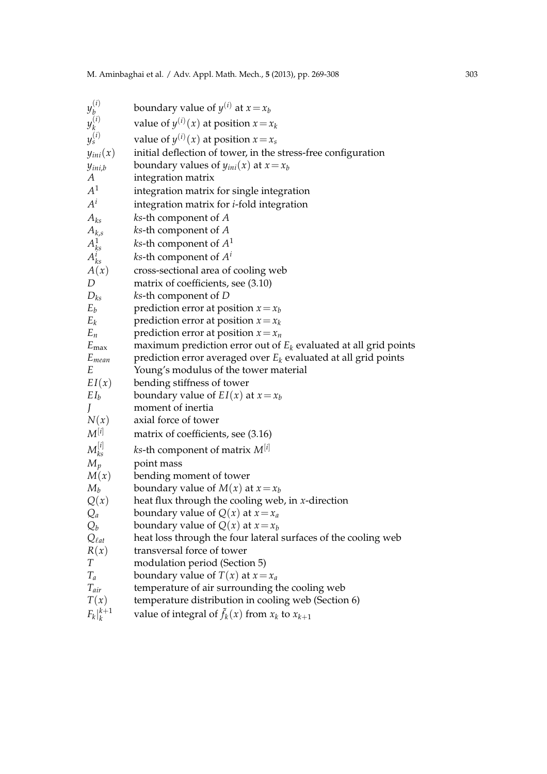| $y_b^{(i)}$             | boundary value of $y^{(i)}$ at $x = x_b$                                                |
|-------------------------|-----------------------------------------------------------------------------------------|
| $y_k^{(i)}$             | value of $y^{(i)}(x)$ at position $x = x_k$                                             |
| $y_s^{(i)}$             | value of $y^{(i)}(x)$ at position $x = x_s$                                             |
| $y_{ini}(x)$            | initial deflection of tower, in the stress-free configuration                           |
| $y_{ini,b}$             | boundary values of $y_{ini}(x)$ at $x = x_b$                                            |
| A                       | integration matrix                                                                      |
| $A^1$                   | integration matrix for single integration                                               |
| $A^i$                   | integration matrix for <i>i</i> -fold integration                                       |
| $A_{ks}$                | $ks$ -th component of $A$                                                               |
|                         | ks-th component of A                                                                    |
| $A_{k,s}\atop A_{ks}^1$ | <i>ks</i> -th component of $A1$                                                         |
| $A_{ks}^i$              | <i>ks</i> -th component of $A^i$                                                        |
| A(x)                    | cross-sectional area of cooling web                                                     |
| D                       | matrix of coefficients, see (3.10)                                                      |
| $D_{ks}$                | ks-th component of D                                                                    |
| $E_b$                   | prediction error at position $x = x_b$                                                  |
| $E_k$                   | prediction error at position $x = x_k$                                                  |
| $E_n$                   | prediction error at position $x = x_n$                                                  |
| $E_{\rm max}$           | maximum prediction error out of $E_k$ evaluated at all grid points                      |
| $E_{mean}$              | prediction error averaged over $E_k$ evaluated at all grid points                       |
| E                       | Young's modulus of the tower material                                                   |
| EI(x)                   | bending stiffness of tower                                                              |
| $EI_b$                  | boundary value of $EI(x)$ at $x = x_b$                                                  |
|                         | moment of inertia                                                                       |
| N(x)                    | axial force of tower                                                                    |
| $M^{[i]}$               | matrix of coefficients, see (3.16)                                                      |
| $M_{k_{s}}^{[i]}$       | <i>ks</i> -th component of matrix $M^{[i]}$                                             |
| $M_p$                   | point mass                                                                              |
| M(x)                    | bending moment of tower                                                                 |
| $M_b$                   | boundary value of $M(x)$ at $x = x_b$                                                   |
| Q(x)                    | heat flux through the cooling web, in $x$ -direction                                    |
| $Q_a$                   | boundary value of $Q(x)$ at $x = x_a$                                                   |
| $Q_b$                   | boundary value of $Q(x)$ at $x = x_b$                                                   |
| $Q_{\ell at}$           | heat loss through the four lateral surfaces of the cooling web                          |
| R(x)<br>T               | transversal force of tower                                                              |
| $T_a$                   | modulation period (Section 5)                                                           |
| $T_{air}$               | boundary value of $T(x)$ at $x = x_a$<br>temperature of air surrounding the cooling web |
| T(x)                    | temperature distribution in cooling web (Section 6)                                     |
| $F_k\vert_k^{k+1}$      | value of integral of $\tilde{f}_k(x)$ from $x_k$ to $x_{k+1}$                           |
|                         |                                                                                         |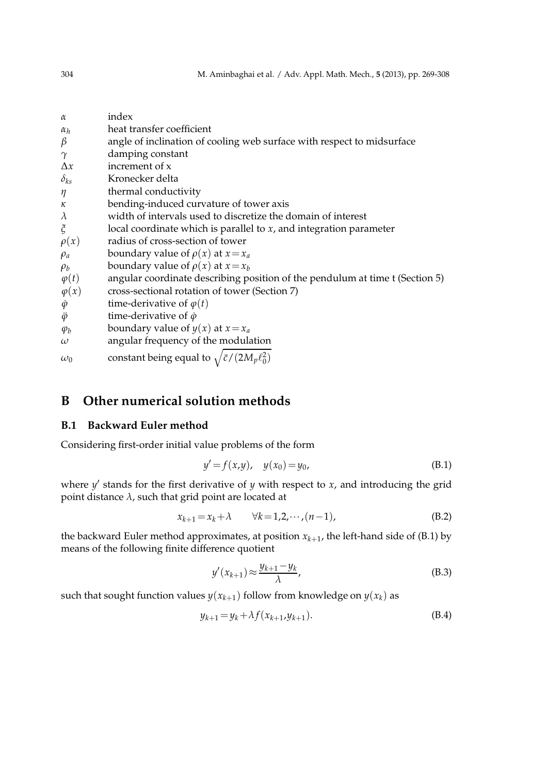| $\alpha$         | index                                                                        |
|------------------|------------------------------------------------------------------------------|
| $\alpha_h$       | heat transfer coefficient                                                    |
| $\beta$          | angle of inclination of cooling web surface with respect to midsurface       |
| $\gamma$         | damping constant                                                             |
| $\Delta x$       | increment of x                                                               |
| $\delta_{ks}$    | Kronecker delta                                                              |
| η                | thermal conductivity                                                         |
| к                | bending-induced curvature of tower axis                                      |
| $\lambda$        | width of intervals used to discretize the domain of interest                 |
| $\zeta$          | local coordinate which is parallel to $x$ , and integration parameter        |
| $\rho(x)$        | radius of cross-section of tower                                             |
| $\rho_a$         | boundary value of $\rho(x)$ at $x = x_a$                                     |
| $\rho_b$         | boundary value of $\rho(x)$ at $x = x_h$                                     |
| $\varphi(t)$     | angular coordinate describing position of the pendulum at time t (Section 5) |
| $\varphi(x)$     | cross-sectional rotation of tower (Section 7)                                |
| $\dot{\varphi}$  | time-derivative of $\varphi(t)$                                              |
| $\ddot{\varphi}$ | time-derivative of $\dot{\varphi}$                                           |
| $\varphi_b$      | boundary value of $y(x)$ at $x = x_a$                                        |
| $\omega$         | angular frequency of the modulation                                          |
| $\omega_0$       | constant being equal to $\sqrt{\bar{c}/(2M_p\ell_0^2)}$                      |

# **B Other numerical solution methods**

## **B.1 Backward Euler method**

Considering first-order initial value problems of the form

$$
y' = f(x, y), \quad y(x_0) = y_0,
$$
 (B.1)

where *y'* stands for the first derivative of *y* with respect to *x*, and introducing the grid point distance  $\lambda$ , such that grid point are located at

$$
x_{k+1} = x_k + \lambda \qquad \forall k = 1, 2, \cdots, (n-1), \tag{B.2}
$$

the backward Euler method approximates, at position *xk*+<sup>1</sup> , the left-hand side of (B.1) by means of the following finite difference quotient

$$
y'(x_{k+1}) \approx \frac{y_{k+1} - y_k}{\lambda},
$$
 (B.3)

such that sought function values  $y(x_{k+1})$  follow from knowledge on  $y(x_k)$  as

$$
y_{k+1} = y_k + \lambda f(x_{k+1}, y_{k+1}).
$$
\n(B.4)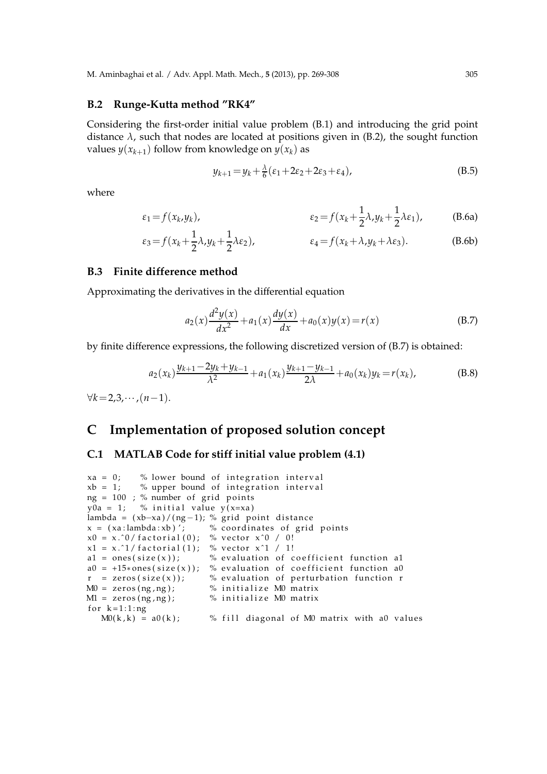### **B.2 Runge-Kutta method "RK4"**

Considering the first-order initial value problem (B.1) and introducing the grid point distance  $\lambda$ , such that nodes are located at positions given in (B.2), the sought function values  $y(x_{k+1})$  follow from knowledge on  $y(x_k)$  as

$$
y_{k+1} = y_k + \frac{\lambda}{6} (\varepsilon_1 + 2\varepsilon_2 + 2\varepsilon_3 + \varepsilon_4), \tag{B.5}
$$

where

$$
\varepsilon_1 = f(x_k, y_k), \qquad \varepsilon_2 = f(x_k + \frac{1}{2}\lambda, y_k + \frac{1}{2}\lambda\varepsilon_1), \qquad (B.6a)
$$

$$
\varepsilon_3 = f(x_k + \frac{1}{2}\lambda, y_k + \frac{1}{2}\lambda \varepsilon_2), \qquad \varepsilon_4 = f(x_k + \lambda, y_k + \lambda \varepsilon_3). \tag{B.6b}
$$

### **B.3 Finite difference method**

Approximating the derivatives in the differential equation

$$
a_2(x)\frac{d^2y(x)}{dx^2} + a_1(x)\frac{dy(x)}{dx} + a_0(x)y(x) = r(x)
$$
 (B.7)

by finite difference expressions, the following discretized version of (B.7) is obtained:

$$
a_2(x_k)\frac{y_{k+1}-2y_k+y_{k-1}}{\lambda^2} + a_1(x_k)\frac{y_{k+1}-y_{k-1}}{2\lambda} + a_0(x_k)y_k = r(x_k),
$$
 (B.8)

∀*k*=2,3,··· ,(*n*−1).

## **C Implementation of proposed solution concept**

#### **C.1 MATLAB Code for stiff initial value problem (4.1)**

```
xa = 0; % lower bound of integration interval
xb = 1; % upper bound of integration interval
ng = 100; % number of grid points
y0a = 1; % initial value y(x=xa)lambda = (xb-xa)/(ng-1); % grid point distance<br>x = (xa:lambda:xb); % coordinates of grid
                            % coordinates of grid points
x0 = x.^0 / factorial (0); % vector x^0 / 0!x1 = x.^{^{\circ}1} factorial (1); % vector x^{\sim}1 / 1!
a1 = ones(size(x)); % evaluation of coefficient function a1
a0 = +15*ones(size(x)); % evaluation of coefficient function a0<br>
r = zeros(size(x)); % evaluation of perturbation function r
                            % evaluation of perturbation function r
M0 = zeros(ng, ng); % initialize M0 matrix
M1 = zeros( ng, ng); % initialize M0 matrix
for k = 1:1:ngM(0(k, k) = a(0k); % fill diagonal of M0 matrix with a0 values
```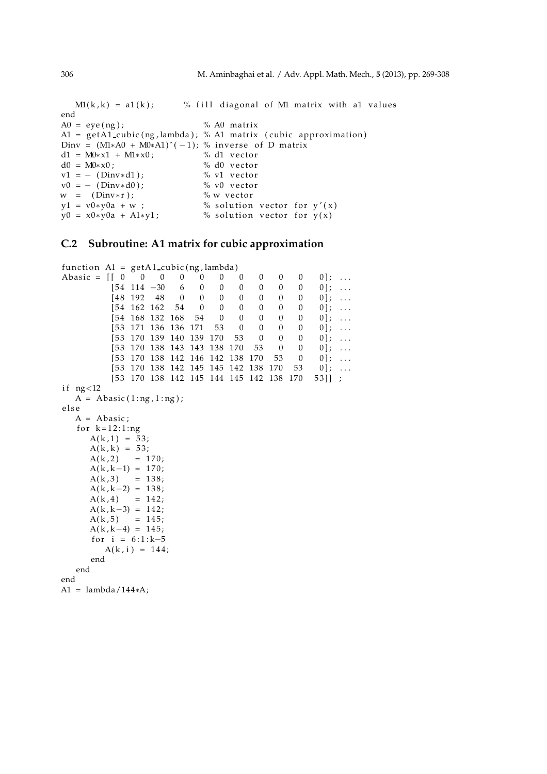$M1(k, k) = a1(k);$  % fill diagonal of M1 matrix with a1 values end  $A0 = eye(ng);$  % A0 matrix  $A1 = get A1_cubic( ng, lambda); % A1 matrix ( cubic approximation)$ Dinv =  $(M1*A0 + M0*A1)^(-1)$ ; % inverse of D matrix<br>d1 =  $M0*x1 + M1*x0$ ; % d1 vector d1 = M0\* $x$ 1 + M1\* $x$ 0;<br>d0 = M0\* $x$ 0; % d0 vector  $v1 = -$  (Dinv\*d1); % v1 vector  $v0 = - (Dinv*d0);$ <br>  $w = (Dinv*r);$ <br>  $\% w vector$  $w = (Dinv*r);$  $y1 = v0*y0a + w ;$  % solution vector for  $y'(x)$  $y0 = x0*y0a + A1*y1;$  % solution vector for  $y(x)$ 

### **C.2 Subroutine: A1 matrix for cubic approximation**

function  $AI = getAI_cubic(ng, lambda)$ Abasic = [ [ 0 0 0 0 0 0 0 0 0 0 0 ] ; . . .  $[54 \t114 \t-30 \t6 \t0 \t0 \t0 \t0 \t0 \t0 \t0]$ ; ...  $[48 \t192 \t48 \t0 \t0 \t0 \t0 \t0 \t0 \t0 \t0 \t0 \t1; ...$ <br>  $[54 \t162 \t162 \t54 \t0 \t0 \t0 \t0 \t0 \t0 \t0 \t1; ...$  $[54 \t162 \t162 \t54 \t0 \t0 \t0 \t0 \t0 \t0 \t0 \t1; ...$ <br> $[54 \t168 \t132 \t168 \t54 \t0 \t0 \t0 \t0 \t0 \t0 \t1; ...$  $\begin{bmatrix} 54 & 168 & 132 & 168 & 54 & 0 & 0 & 0 & 0 & 0 & 0 \end{bmatrix}; \ \ldots$   $\begin{bmatrix} 53 & 171 & 136 & 136 & 171 & 53 & 0 & 0 & 0 & 0 & 0 \end{bmatrix}; \ \ldots$  $[53 \t171 \t136 \t136 \t171 \t53 \t0 \t0 \t0 \t0$  $[53 \t170 \t139 \t140 \t139 \t170 \t53 \t0 \t0 \t0 \t0]; \ldots$  $[53 \t170 \t138 \t143 \t143 \t138 \t170 \t53 \t0 \t0 \t0]; \ldots$  $[53 \t170 \t138 \t142 \t146 \t142 \t138 \t170 \t53 \t0 \t0]; \ldots$  $[53 \t170 \t138 \t142 \t145 \t145 \t142 \t138 \t170 \t53 \t0]; \ldots$  $[53 \t170 \t138 \t142 \t145 \t144 \t145 \t142 \t138 \t170 \t53]]$ ; if  $ng<12$  $A = Abasic(1:ng, 1:ng);$ e l s e  $A = Abasic;$ for  $k = 12:1:ng$  $A(k, 1) = 53;$  $A(k, k) = 53;$  $A(k, 2) = 170;$  $A(k, k-1) = 170;$  $A(k,3) = 138;$  $A(k, k-2) = 138;$  $A(k, 4) = 142;$  $A(k, k-3) = 142;$  $A(k, 5) = 145$ ;  $A(k, k-4) = 145$ ; for  $i = 6:1:k-5$  $A(k, i) = 144$ ; end end end

A1 = lambda/144∗A;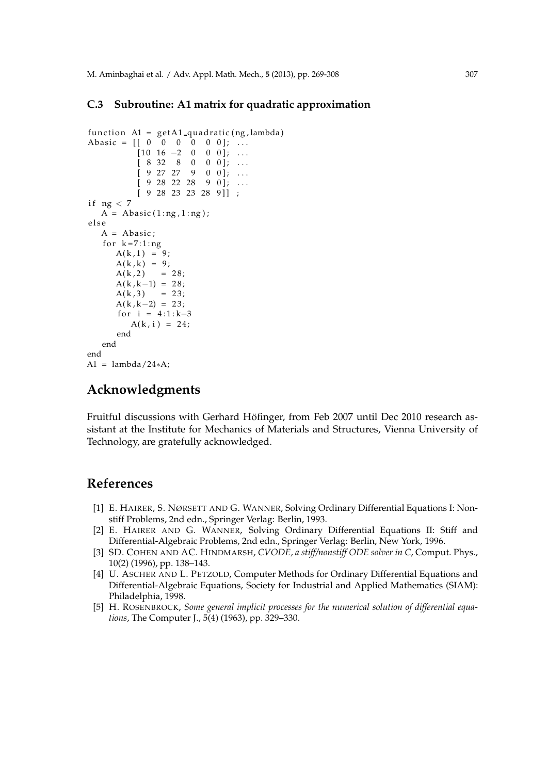## **C.3 Subroutine: A1 matrix for quadratic approximation**

```
function AI = getAI-quadratic (ng, lambda)Abasic = [[ 0 0 0 0 0 0 0]; ...
          [10 \ 16 \ -2 \ 0 \ 0 \ 0]; \ldots[ 8 32 8 0 0 0 ]; ...
          [9 27 27 9 0 0]; ...[9 28 22 28 9 0]; \ldots[ 9 28 23 23 28 9 ] ];
if ng < 7A = \text{Abasic}(1:ng,1:ng);e l s e
  A = Abasic;for k = 7:1:ngA(k, 1) = 9;A(k, k) = 9;A(k, 2) = 28;A(k, k-1) = 28;A(k, 3) = 23;A(k, k-2) = 23;for i = 4:1:k-3A(k, i) = 24;end
   end
end
A1 = lambda/24*A;
```
## **Acknowledgments**

Fruitful discussions with Gerhard Höfinger, from Feb 2007 until Dec 2010 research assistant at the Institute for Mechanics of Materials and Structures, Vienna University of Technology, are gratefully acknowledged.

## **References**

- [1] E. HAIRER, S. NØRSETT AND G. WANNER, Solving Ordinary Differential Equations I: Nonstiff Problems, 2nd edn., Springer Verlag: Berlin, 1993.
- [2] E. HAIRER AND G. WANNER, Solving Ordinary Differential Equations II: Stiff and Differential-Algebraic Problems, 2nd edn., Springer Verlag: Berlin, New York, 1996.
- [3] SD. COHEN AND AC. HINDMARSH, *CVODE, a stiff/nonstiff ODE solver in C*, Comput. Phys., 10(2) (1996), pp. 138–143.
- [4] U. ASCHER AND L. PETZOLD, Computer Methods for Ordinary Differential Equations and Differential-Algebraic Equations, Society for Industrial and Applied Mathematics (SIAM): Philadelphia, 1998.
- [5] H. ROSENBROCK, *Some general implicit processes for the numerical solution of differential equations*, The Computer J., 5(4) (1963), pp. 329–330.